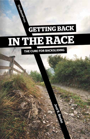

CIVICKOTTRIFESS

THE CURE FOR BACKSLIDING

Joel R. Beeke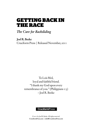### Getting Back in the Race

### *The Cure for Backsliding*

**Joel R. Beeke** Cruciform Press | Released November, 2011

> To Lois Mol, loyal and faithful friend. "I thank my God upon every remembrance of you." (Philippians 1:3) – Joel R. Beeke

> > **CruciformPress**

© 2011 by Joel R. Beeke. All rights reserved. **CruciformPress.com | info@CruciformPress.com**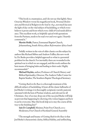"This book is a masterpiece, and I do not say that lightly. Since Octavius Winslow wrote his magnificent book, *Personal Declension and Revival of Religion in the Soul* in 1841, not much has seen the light of day on the vital subject of backsliding, to which every believer is prone and from which every child of God needs deliverance. This excellent work, so helpfully spiced with quotations from the Puritans, needs to be read over and over again. I heartily commend it."

**Martin Holdt**, Pastor, Emmanuel Baptist Church, Johannesburg, South Africa; editor *Reformation Africa South*

"Solidly written in the vein of older classics on this subject by authors like Richard Sibbes and Andrew Fulller, this new work by Dr. Beeke provides a helpful approach to what is a perennial problem for the church. For inevitably there are wounded in the spiritual war in which we are engaged, and this work outlines the best means of bringing balm and healing to their souls. Highly recommended."

**Michael Haykin**, author; Professor of Church History and Biblical Spirituality; Director, The Andrew Fuller Center for Baptist Studies, The Southern Baptist Theological Seminary

"*Getting Back in the Race* is a thorough treatment of the difficult subject of backsliding. It bears all the classic hallmarks of Joel Beeke's writings: it is thoroughly scriptural, warmly pastoral, saturated with the best of Puritan wisdom, and relevant for all Christians. Any of us may drop out of the race; Joel Beeke will help us prevent that happening by showing why it does happen and how it can be overcome. May this book help us to stay the course all the way to the finishing line!"

**Iain D. Campbell**, Minister, Point Free Church; 2012 Moderator, Free Church of Scotland General Assembly

"The strength and beauty of *Getting Back in the Race* is that Joel Beeke's characteristic clarity, biblical fidelity, and unflinching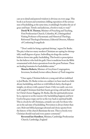care as to detail and pastoral wisdom is obvious on every page. This book is an honest and sometimes chilling exposition of the seriousness of backsliding; at the same time, it unfailingly breathes the air of grace and hope. Timely and judicious, a book to read, re-read."

**Derek W. H. Thomas**, Minister of Preaching and Teaching, First Presbyterian Church, Columbia, SC; Distinguished Visiting Professor of Systematic and Historical Theology, Reformed Theological Seminary; Editorial Director, Alliance of Confessing Evangelicals

"'Don't settle for being a spiritual shrimp,' argues Dr. Beeke. The pity is that too many modern Christians are opting for shrimpishly small degrees of grace. Indwelling sin drags the careless believer down into guilty backsliding. This book is a prescription for the believer who feels his guilt. Here is medicine from the Bible ornamented with choice quotations from the great Puritans. These are healing fountains for backslidden saints."

**Maurice Roberts**, Minister of Greyfriars Congregation, Inverness, Scotland; former editor, *Banner of Truth* magazine

"Once again, Christian believers young and old are indebted to Joel Beeke. Dr. Beeke writes on a subject we hear much too little about, backsliding, and does so with biblical clarity, theological insight, yet always with a pastor's heart. Only too easily can even well-taught Christians find their hearts growing cold and their zeal for Christ's honor flagging. Dr. Beeke, like the spiritual physician he is, exposes to us the reasons why backsliding happens and how God in his grace maps out for us the way back to spiritual health. This is a book for all Christians, certainly not only for those who are in the sad state of backsliding. Prevention is always better than cure. Relevant biblical passages abound and choice quotes from the history of the church illuminate the text. This is a book every Christian should read and every pastor commend."

**Reverend Ian Hamilton**, Minister, Cambridge Presbyterian Church, Cambridge, England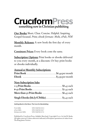# **CruciformPress something new in Christian publishing**

**Our Books:** Short. Clear. Concise. Helpful. Inspiring. Gospel-focused. *Print; ebook formats: Mobi, ePub, PDF.* 

**Monthly Releases:** A new book the first day of every month.

**Consistent Prices:** Every book costs the same.

**Subscription Options:** Print books or ebooks delivered to you every month, at a discount. Or buy print books or ebooks individually.

#### **Annual or Monthly Subscriptions**

| Print Book \$6.49 per month              |  |
|------------------------------------------|--|
| Ebook $\ldots$ \$3.99 per month          |  |
| <b>Non-Subscription Sales</b>            |  |
|                                          |  |
|                                          |  |
| More than 50 Print Books \$6.45 each     |  |
| Single Ebooks (bit.ly/CPebks)\$5.45 each |  |

#### *Getting Back in the Race: The Cure for Backsliding*

| Print ISBN:      | 978-1-936760-35-0 |
|------------------|-------------------|
| ePub ISBN:       | 978-1-936760-36-7 |
| Mobipocket ISBN: | 978-1-936760-37-4 |

Published by Cruciform Press, Adelphi, Maryland. Copyright © 2011 by Joel R. Beeke. All rights reserved. Unless otherwise indicated, all Scripture quotations are taken from: The King James Version.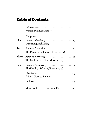### Table of Contents

|       | Running with Endurance                            |
|-------|---------------------------------------------------|
| One   | Chapters<br>Discerning Backsliding                |
| Two   | The Physician of Grace (Hosea 14:1-3)             |
| Three | The Medicines of Grace (Hosea 14:4)               |
| Four  | The Healing of Grace (Hosea $14:5-9$ )            |
|       | $Conclusion \dots 103$<br>A Final Word to Runners |
|       |                                                   |
|       | More Books from Cruciform Press  110              |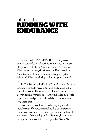## Introduction Running with Endurance

At the height of World War II, the enemy Axis powers controlled all of Europe from France westward, plus portions of Africa, Asia, and China. The Russian Allies were under siege in Moscow and had already lost Kiev. It seemed the unthinkable was happening: the exhausted Allies were losing their war against a merciless foe.

In October 1941 the English Prime Minister, Winston Churchill, spoke to his countrymen, and indeed to the entire free world. The substance of his message was clear: "Never, never, never give up!" Churchill called his people to persevere, and persevere they did unto victory, four long years later.

As in military conflict, so in the ongoing war that is the Christian life: perseverance like that of a marathon runner is a necessity—even, and especially, in the face of what seem to be daunting odds. Of course, in one sense this spiritual war is not to be compared to World War II,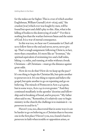for the stakes are far higher. This is a war of which another Englishman, William Gurnall (1616–1679), said, "the cruelest [war] which ever was fought by men, will be found but sport and child's play to this. Alas, what is the killing of bodies to the destroying of souls?"1 For this is nothing less than the warfare between Satan and the saints of God. It is a war of eternal consequence.

In this war too, we hear our Commander in Chief call us to follow him to the end and never, never, never give up. That's a tough assignment: following Christ is, in fact, more than a marathon. It's more like an "Ironman," the spiritual equivalent of swimming two and a half miles, biking 112 miles, and running 26 miles without a break. Christians—all Christians—must go the distance against great odds.

How do we do that? How do we keep up the pace? It's one thing to begin the Christian life, but quite another to persevere in it. It's one thing to repent and believe the gospel, but quite another to go on repenting and go on believing. The miracle of Pentecost in Acts 2:4 is great, but in some ways, Acts 2:42 is even greater: "And they continued steadfastly in the apostles' doctrine and fellowship and in breaking of bread, and in prayers." My father often said to me, "Remember, it's relatively easy to begin ministry in the church; the challenge is to maintain it—to persevere in zeal for it."

Haven't you, too, discovered that in some ways it can be harder to go on believing as a Christian than to become one in the first place? Haven't you, too, found it hard to persevere in faith when trouble or opposition arises, or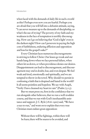when faced with the demands of daily life in such a world as this? Perhaps even now you are fearful. Perhaps you are afraid that you will fall into a defeatist attitude, saying, "I can never measure up to the demands of discipleship, so what's the use of trying? The poverty of my faith and my weakness in the face of temptation is terribly discouraging. How can I go on believing that 'God is light' even in the darkest night? How can I persevere in paying the high cost of faithfulness, enduring affliction and opposition and loss for the gospel's sake?"

Every Christian faces numerous discouragements in striving to follow Christ. Our knees go weak and our hands hang down when we face personal failure, when others let us down, or when providence denies our desires. Disappointment can lead to discouragement, and discouragement may end in doubt, fear, and even despair. We feel weak and tired, emotionally and spiritually, and we are tempted to throw in the towel. Why should we persist in confessing a faith that is despised and hated in the world? It all seems pointless and hopeless. We say with Asaph, "Verily I have cleansed my heart in vain" (Psalm 73:13).

But we must press on, firm in the confidence that we run alongside other believers, that we run a well-trodden course, and that we run with God's inexhaustible assistance and support. J. C. Ryle (1816–1900) said, "We have a race to run," and went on to explain that every true Christian must endure great opposition:

Without there will be fightings, within there will be fears; there will be snares to be avoided, and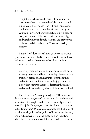temptations to be resisted; there will be your own treacherous hearts, often cold and dead and dry and dull; there will be friends who will give you unscriptural advice, and relations who will even war against your soul; in short, there will be stumbling-blocks on every side, there will be occasion for all your diligence and watchfulness and godly jealousy and prayer, you will soon find that to be a real Christian is no light matter.<sup>2</sup>

But the Lord does not call us to go where he has not gone before. We are called to endure what Christ endured before us, to follow the course he has already taken. Hebrews 12:1–2 says,

Let us lay aside every weight, and the sin which doth so easily beset us, and let us run with patience the race that is set before us, looking unto Jesus the author and finisher of our faith; who for the joy that was set before him endured the cross, despising the shame, and is set down at the right hand of the throne of God.

There's the key: "looking unto Jesus." The more we fix our eyes on the glory of the one who died and rose and now sits at God's right hand, the more we will press on to meet him. John Bunyan (1628–1688), himself no stranger to hardship, said, "When men do come to see the things of another world, what a God, what a Christ, what a heaven, and what an eternal glory there is to be enjoyed; also, when they see that it is possible for them to have a share in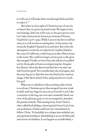it, I tell you it will make them run through thick and thin to enjoy it."<sup>3</sup>

But when we lose sight of Christ because of our sin, or Satan's lies, we grow tired and weak. We begin to lose our bearings, drift out of the way, or else give up too soon. Let's take a lesson from American swimmer Florence Chadwick (1918–1995). While I am not the first to tell her story, it is well worth recounting here. In her prime, she swam the English Channel in record time. But when she attempted to swim the 26 miles from Catalina Island to the coast of California, a thick fog set in after fifteen hours in the water. She could no longer see her goal, so she grew discouraged. Finally, an hour later, she asked to be pulled out by the people in boats accompanying her. Imagine her dismay when she discovered that she was only one mile from her goal! Two months later she tried again, and the same fog set in. But this time she fixed in her mind an image of the shore ahead of her, and pressed on to reach her goal.

When sin or unbelief or false teaching make it hard to see Jesus, Christians grow discouraged, become weak in faith, and may begin to turn away from the Lord. Like a swimmer in the fog, our own sins constantly block our view of the glorious goal, so we are tempted to abandon the pursuit entirely. This turning away from Christ is often called backsliding: a drawing back from God, from our profession of faith, and from our commitment to follow Christ. To backslide is to relapse into unbelief, sin, and spiritual numbness. Backsliding is an act of disloyalty and a form of rebellion. It can happen to an individual, a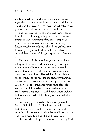family, a church, even a whole denomination. Backsliding can leave people in a weakened spiritual condition for years before they recover. It can even lead to final apostasy, giving up and walking away from the Lord forever.

The purpose of this book is to awaken Christians to the reality of backsliding, to help us recognize it when it starts, to show where it may lead, and to empower believers—those who are in the grip of backsliding, or those in a position to help the afflicted—to get back into the race by the grace of God. We will first analyze the spiritual disease of backsliding, then proceed to the divine cure.<sup>4</sup>

This book will also introduce you to the vast body of helpful literature on backsliding and spiritual experience in general. Christian writers of the seventeenth, eighteenth, and nineteenth centuries gave considerable attention to the problem of backsliding. Many of their books continue to be printed today. Strangely, treatment of this topic has become quite rare among recent authors. Therefore, I hope to introduce you to some of the old writers of the Reformed and Puritan traditions who handle spiritual experience with biblical wisdom. Follow the footnotes of this book like bridges to other valuable books.

I encourage you to read this book with prayer. Pray that the Holy Spirit would illuminate your mind to see the truth, and bring your heart captive to love for the truth. Pray also for your church and other Christians, that God would heal all our backsliding (Hosea 14:4).

I believe in both the preservation of the saints by God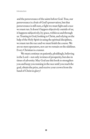and the perseverance of the saints before God. True, our perseverance is a fruit of God's preservation, but that perseverance is still ours, a fight we must fight and a race we must run. It doesn't happen objectively outside of us; it happens subjectively, by grace, within us and through us. Trusting in God, looking to Christ, and relying on the help of the Holy Spirit in using the spiritual disciplines, we must run the race and we must finish the course. We are no mere spectators, nor can we remain on the sidelines. Every Christian is a runner.

We must continue on patiently, ploddingly, believing in the Lord—not only in times of prosperity, but also in times of adversity. May God use this book to strengthen you and keep you running in the race until you reach the goal, obtain the prize, and receive your crown from the hand of Christ in glory!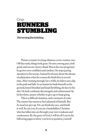## One RUNNERS STUMBLING

Discerning Backsliding

Picture a runner in a long-distance, cross-country race. Off the mark, things look great. He sets a strong pace, feels good, and can see victory ahead. But as the race progresses he grows over-confident and careless. He stops paying attention to the terrain. Instead he dreams about the shouts of admiration when he crosses the finish line in record time. After running strongly for a while, he fails to see a dip in the path and falls. In an instant he finds himself on the ground, knees bloodied and head throbbing, his face in the dirt. He feels confused, discouraged, and embarrassed. So he lies there, unsure whether to give up or keep going.

This is a difficult situation, and a moment of crisis. The runner has reason to feel ashamed of himself. *But he need not give up*. He can finish the race, and finish it well. So can you, if you are a backslidden Christian who has fallen into sin through your own weakness and carelessness. By the grace of God, I will do all I can in the following pages to show you how to position yourself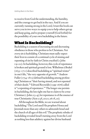to receive from God the understanding, the humility, and the courage to get back in the race. And if you are currently running strong in the Lord, I trust this book can serve you in two ways: to equip you to help others get up and keep going, and to prepare yourself (God forbid) for the possibility of your own backsliding in the future.

### What Is Backsliding?

Backsliding is a season of increasing sin and decreasing obedience in those who profess to be Christians. *Not every sin is backsliding*. Christians must sadly expect their lives to consist of a continual cycle of sinning and repenting of sin by faith in Christ crucified (1 John 1:9–2:2). In backsliding, however, this cycle of repentance is broken and spiritual ground is lost. Wilhelmus à Brakel  $(1635-1711)$  described backsliding as "spiritual winter" in one's life, "the very opposite of growth."<sup>5</sup> Andrew Fuller  $(1754-1815)$  defined backsliding among professing Christians as "their having sinned, and not repented of their deeds."<sup>6</sup> Edward Reynolds (1599–1676) called it "a repenting of repentance."<sup>7</sup> The longer one persists in backsliding, the less right one has to claim to be a true Christian (1 John 2:3–4), for repentance is of the essence of true Christianity (Acts 2:38, 20:21; 26:18, 20).

All throughout the Bible, we are warned about backsliding.<sup>8</sup> The Lord used His prophets Hosea and Jeremiah more than any others to admonish Israel and the church of all ages of this evil.<sup>9</sup> The prophetic rebuke of backsliding revealed Israel's turning away from the Lord as nothing less than adultery against her divine husband: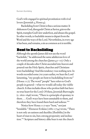God's wife engaged in spiritual prostitution with rival lovers (Jeremiah 3, Hosea 4).

Backsliding from Christ is thus a serious matter. It dishonors God, disregards Christ as Savior, grieves the Spirit, tramples God's law underfoot, and abuses the gospel. In other words, to backslide means to depart from the Word and the ways of the Lord. Nevertheless, in every age it has been, and remains, a sin as common as it is terrible.

### Bent to Backsliding

Although the apostle James did not use the word "backslide," he addressed the same adulterous love of the world among the churches (James 4:1–10). Only a couple of decades after Christ ascended into heaven and poured out the Holy Spirit, churches and Christians were backsliding! And this tendency was nothing new. In words recorded some 700 years earlier, we hear the Lord lamenting, "my people are bent to backsliding from me" (Hosea 11:7). The word "people" here refers to God's people in general—what we would call today the visible church. It thus includes those who profess faith but have no true heart for the Lord. Of these, Jeremiah Burroughs (c. 1600–1646) wrote, "There is a principle of apostasy in them. . . . God's ways have been unsuitable to them, and therefore they have found them hard and tedious."<sup>10</sup>

Notice how Hosea 11:7 says "bent," not just "bendable." Ebenezer Erskine (1680–1754) wrote, "There is not only an easiness and ductility [flexibility] in the heart of man to sin, but a strong propensity and inclination."11 Scripture and history alike bear it out: the church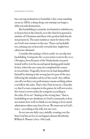has a strong inclination to backslide. Like a man standing on an icy hill by a sharp drop, one misstep can begin a slide towards destruction.

But backsliding is certainly not limited to unbelievers, to hypocrites in the church, or to the church in general (a mixture of Christians and those who profess faith but do not possess it). The same tendency exists for those who are God's true runners in the race. These can backslide too, missing out on heavenly rewards they might have otherwise obtained.

Consider this analogy of how easily we can slip into backsliding. Going into the 10,000 meter event in the 2010 Olympics, Sven Kramer of the Netherlands was positioned well to win his second speed skating gold medal. In fact, when the race came, he completed the course in record time. Tragically, however, he had disqualified himself by skating in the wrong lane for part of the race, following the mistaken advice of his coach. Any athlete can tell you that your performance means nothing unless you follow the rules. That's why Paul wrote in 2 Timothy 2:5 that if a man competes in the games, he will not receive the victor's crown unless he competes according to the rules. If we are "skating in the wrong lane," that is, backsliding in our obedience to God's commands, it does not matter how well we think we are doing or how much admiration others may have for us. We must run in God's ways—according to his will, not our own.

As we run our daily race, sinfully crossing over the lines God has set for us can happen almost effortlessly. William S. Plumer (1802–1880) said,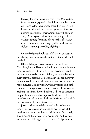It is easy for us to backslide from God. We go astray from the womb, speaking lies. It is as natural for us to do wrong as for the sparks to ascend. In our voyage heavenward, wind and tide are against us. If we do nothing to overcome their action, they will carry us away. We can go to hell without intending to do so, without putting forth any efforts to that effect. But to go to heaven requires prayer, self-denial, vigilance, violence, running, wrestling, fighting.<sup>12</sup>

Plumer is right: this Christian life is a war, not against men, but against ourselves, the system of the world, and the devil.

If backsliding occurred even once in our lives as Christians, it would be unspeakably grievous and heinous. God has loved us with an everlasting love, forgiven all our sins, embraced us as his children, and blessed us with every spiritual blessing. To backslide even once merely in thought would be more than sufficient reason, in human reckoning, for God to withdraw his love from us. But the real state of things is worse—much worse. Hosea says we are bent—inclined, directed, habituated—to backsliding, despite the immeasurable depth of God's love. If left to ourselves, we will continually backslide from the Lord. Is this not as true of you as it is of me?

Just as sin is not made less awful or less offensive to God by its prevalence, so our shared bent to backsliding does not render that bent a trivial matter. God surely *does* promise that wherever he begins the good work of salvation, he will bring it to completion (Philippians 1:6).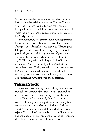But this does not allow us to be passive and apathetic in the face of our backsliding tendencies. Thomas Vincent (1634–1678) warned that God preserves his people through their motives and their efforts to use the means of grace God provides. We must avail ourselves of the grace that God grants us.

Furthermore, God's preservation does not guarantee that we will avoid sad falls. Vincent warned his hearers: "Though God will not allow you totally to fall from grace if the good work is in truth begun in you, yet, without great heed, you may fall into great decay of grace; your graces may languish and so be ready to die (Revelation 3:2)."<sup>13</sup> What might that look like practically? Vincent continued, "You may fall foully into sin" so that you shame the name of Christ, wound your conscience, grieve the Spirit, hurt the church, interrupt your fellowship with God, lose your assurance of salvation, and fall under God's discipline.<sup>14</sup> Frightful, yes, but all of it true.

### Taking Stock

Perhaps there was a time in your life when you would not have believed these words of Hosea 11:7-a time when, in the flush of first love, prayer was your daily breath and the Word of God your daily food. At that time, the word "backsliding" was foreign to your vocabulary. Sin was sin, grace was grace, God was God, and Christ was Christ. You would have waded through hell itself to get to Jesus Christ.<sup>15</sup> The Lord could say of you, "I remember thee, the kindness of thy youth, the love of thine espousals, when thou wentest after me in the wilderness, in a land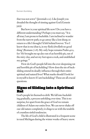that was not sown" (Jeremiah 2:2). Like Joseph you dreaded the thought of sinning against God (Genesis 39:9).

But how is your spiritual life now? Do you have a different understanding? Perhaps you must say, "It is all true; I am prone to backslide. I am inclined to wander from the narrow path, to go astray like a lost sheep, to return to a life I thought I'd left behind forever. 'For I know that in me (that is, in my flesh) dwelleth no good thing' (Romans 7:18). My only hope remains Psalm 40:2, for '*He* brought me up also out of an horrible pit, out of the miry clay, and set my feet upon a rock, and established my goings."

How do God's people fall into the ever-deepening rut and horrible pit of backsliding? How does the sin of backsliding extend its deadly influence through their entire spiritual and natural lives? What marks should I look for in myself to know if I am backsliding? These are all crucial questions.

### Signs of Sliding into a Spiritual Rut

God's people let themselves drift. We fall into backsliding gradually, a process unfolding over time. This is no surprise, for apart from the grace of God we remain children of Adam our entire lives. We can never shake off our old nature completely; it clings to us with the tendrils of countless sinful tendencies.

The life of God's child is illustrated in a frequent scene in rural Michigan during the winter weeks of heavy snow.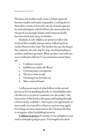The lanes and smaller roads, many of them unpaved, become muddy and nearly impassable. Looking down these after a snow, at first only one set of tracks appears. As each subsequent vehicle follows the same tracks, the ruts grow increasingly deeper, until someone finally becomes stuck and can go no further.

Similarly, God's children are prone to follow the tracks of their muddy human nature, following those tracks wherever they lead. The further they go, the deeper they sink into the ruts, step by step, one thing leading to another, until they get stuck. What are these ruts believers are so inclined to fall into? I can enumerate at least these six:

- 1. Coldness in prayer
- 2. Indifference under the Word
- 3. Growing inner corruptions
- 4. The love of the world
- 5. Declining love for believers
- 6. Man-centered hopes

I will present much of what follows in the second person, as if I am speaking directly to a backslidden saint. I do this not to accuse or condemn you, the reader—the main point of this book is that grace and healing through Christ is freely available!—but to give you opportunity to more easily see yourself in whatever sections may apply. Few things are more important in the Christian life than to recognize when backsliding has set in.

**Coldness in prayer.** Formerly, it was a delight to your soul to anticipate going to pray. You longed to be alone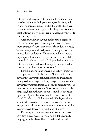with the Lord, to speak with him, and to pour out your heart before him with all your needs, confessions, and vows. You spread out every matter before the Lord as if he knew nothing about it, yet with a deep consciousness that he always knows your circumstances and your needs better than you do.

Gradually, however, your zeal in prayer begins to fade away. Before you realize it, your prayers become more a matter of words than heart. Alexander Ross says, "A man may pray with his lips and yet not pray with an intense desire of the soul."16 Form and coldness increasingly replace love and urgency. The Lord warned of this danger in Isaiah 29:13, saying "this people draw near me with their mouth, and with their lips do honour me, but have removed their heart far from me."

Before long, morning prayer is all but given up; you no longer feel it is critical to call on God to begin your day rightly. Prayer at bedtime shortens, and wandering thoughts during prayer multiply. Prayer throughout the day largely vanishes. James 4:2 begins to describe you: "ye have not, because ye ask not." God formed you to declare his praise, but now he says to you, "thou hast not called upon me, O Jacob; but thou hast been weary of me, O Israel" (Isaiah 43:22). Fuller warned, "If religious duties are attended to rather from custom or conscience than love, we must either never have known what true religion is, or in a great degree have lost the spirit of it."<sup>17</sup>

Formality and deadness conquer power and access. Omitting prayer may seem more reverent than actually praying. Your head is still bowed, and words are still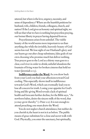uttered, but where is the love, urgency, necessity, and sense of dependency? Where are the heartfelt petitions for husband, wife, children, friends, colleagues, church, and nation? If the Lord gives us honesty and spiritual sight, we will see that what we have is nothing but prayerless praying, our former liberty in prayer having departed from us.

Prayerlessness arises from unbelief. The visible beauty of the world seems more important to us than anything else while the invisible, heavenly beauty of God seems less real. We lose sight of our Husband's glory and our hearts go out after cheap substitutes, false gods of our own choosing who promise much but deliver nothing. True prayer goes to the Lord as a thirsty man goes to a clear, cool river in order to drink; unbelief abandons the fountain of living water for broken cisterns that hold no water (Jeremiah 2:13).

**Indifference under the Word.**As you draw back from your Lord you find your affections toward God cooling. This especially shows itself in indifference towards God's Word, which can eventually lead you to lose all concern for truth. Losing your appetite for God's living and life-giving Word reveals a lack of spiritual health and forecasts further decline, for the Bible says, "As newborn babes, desire the sincere milk of the word, that ye may grow thereby" (1 Peter 2:2). It is not enough to attend preaching; one must *desire* the Word.

You do not neglect church attendance, but neither do you cherish it; the heart is not in it as before. The public means of grace substitute for a close and secret walk with God. Physically, you enter the sanctuary, but spiritually,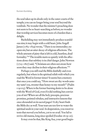the soul takes up its abode only in the outer courts of the temple; you can no longer bring your soul beyond the vestibule. No wonder that the minister's preaching does not seem to be so heart-searching as before; no wonder that worship services becomes more of a burden than a delight.

Backsliding may not immediately produce scandalous sins; it may begin with a cold heart. John Angell James ( $1785-1859$ ) wrote, "There is no immorality; no open sin; but an utter decay of religious affections. The whole amount of piety that is left is cold, heartless, dead formality."18 The trouble starts so quietly with the affections alone: that subtlety is its chief danger. John Newton (1725–1807) said, "Christians are often not aware how soon they may decline in their religious affections."<sup>19</sup>

Perhaps you still read the Bible dutifully and even regularly, but where is the spiritual relish with which you read the Word in former times? It seems but a memory that once you could say, "How sweet are thy words unto my taste! yea, sweeter than honey to my mouth!" (Psalm 119:103). Where is the former burning desire to be alone with the Word of God, even if it did nothing but convict you of sin? Where are all the holy precepts, precious promises, pointed rebukes, and instructive lessons that once abounded on its sacred pages? A dry heart finds the Bible dry as well. Your tears are too few to water the spiritual seeds in your soul. In desperation, you resort to texts that moved you before, yet to no avail. You fail to revive old manna, long since spoiled (Exodus 16:19–20).

It may even be that, like King Asa, your good begin-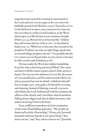nings have been marred by trusting in man instead of the Lord, and now you are angry at the very men who faithfully preach God's Word to you (2 Chronicles 16:10). God's hand may be upon your conscience for some sin, but you refuse to confess it and forsake it, so the Word shines upon you like the hot sun in a summer drought (Psalm 32:3–4). Beware lest you become like "children that will not hear the law of the LORD," as described in Isaiah 30:9–10, "Which say to the seers, See not; and to the prophets, Prophesy not unto us right things, speak unto us smooth things, prophesy deceits." Is it possible that the very reason you see the preacher as your enemy is because he tells you the truth (Galatians 4:16)?

Dryness under the Word also implies backsliding from him who is the living and eternal Word. The center and heart of all the means of grace, Jesus Christ, seems to depart. He was once the substance of your life, the source of your sanctification, and the mark towards which you always pressed, but now he silently withdraws himself. You no longer carry your guilt to his blood for covering and cleansing. Instead of blaming yourself, you more often blame the Lord, finding fault with his ministers, the officers of the church, and your fellow church members. Talking about religion and church affairs becomes a substitute for having Christ in the heart.

Soon, indifference produces its close companion on the road of backsliding: ignorance*.* "My people are destroyed for lack of knowledge" (Hosea 4:6). Jeremiah lamented with tears that the Lord said of Israel, "they know not me," and "they refuse to know me" (Jeremiah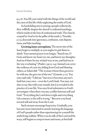9:3, 6). You fill your mind with the things of the world and the cares of this life while neglecting the truths of God.

As backsliding sets in among a people collectively, they willfully despise the church's confessed teachings, which results in the loss of confessional truth. The church, created by God to be the pillar of the truth (1 Timothy 3:15), descends into ignorance, confusion, vain disputations, and false teaching.

**Growing inner corruptions.** The secret sins of the heart begin to multiply as you neglect to put them to death. Your earnest prayer is no longer, "Search me, O God, and know my heart: try me, and know my thoughts: And see if there be any wicked way in me, and lead me in the way everlasting" (Psalm 139:23–24). Instead you cover the evidence of your sin, hiding from God and blaming others, as Adam did: "The woman whom thou gavest to be with me, she gave me of the tree" (Genesis 3:12). You once said only "I did eat," but now it becomes anyone's fault but your own—even the Lord's fault. You may not dare to say this with your mouth, but it is revealed in the practice of your life. You once lived submissive to God's sovereignty when there was any conflict between self and God: "Everything the Lord does is right and everything I do contrary to his will is wrong." But now you bend toward self and away from the Lord.

Such excuses encourage hypocrisy. Gradually, you become more interested in merely learning the language of God's people rather than experiencing for yourself the underlying realities. When you do talk of the Lord and his ways, self begins to creep in more and more, at first half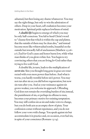ashamed, but then losing any shame whatsoever. You may say the right things, but only to win the admiration of others. Deep in your heart, self-exaltation becomes your motivation. Spiritual pride replaces lowliness of mind.

A *double life* begins to emerge of which you may be only half-conscious. You fail to heed Christ's word to "cleanse first that which is within the cup and platter, that the outside of them may be clean also," and instead become more like whitewashed tombs, beautiful on the outside but inwardly full of uncleanness (Matthew 23:26– 27). Zeal for God's cause and honor burns low, while what man thinks of you glows white-hot. You begin to try convincing others that you are living *for* God rather than trying to live *with* God.

A double life, in turn, leads to the multiplication of *secret sins*. Sins you thought long gone in grace are resurrected with even more power than before. And what is worse, you hardly tremble before sin's power. You may not run after sin as you did before regeneration, but now sin runs after you. And as your resistance against sin grows weaker, you welcome its approach. Offending God does not remain the overriding burden of sin; instead, the punishment of sin, or perhaps its offense to men, becomes your primary motive for resisting temptation. You may still confess sin as sin and make vows to change, but you do both acts as an empty show of piety. Your confession comes without repentance, and you do not follow your vows with change. You speak against sin but accommodate it in practice and, on occasion, even fuel sin, in spite of your conscience (Romans 13:14).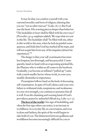It may be that you comfort yourself with your outward morality and form of religion, claiming that you are "not as other men are" (Luke 18:11). But God sees the heart. His warning pierces deeper than behavior: "The backslider *in heart* shall be filled with his own ways" (Proverbs 14:14, emphasis added). We reap what we sow in this life. The backslider shall "be filled with sin, either in this world or the next, when he feels its painful consequences, and finds that God has marked all his steps, and will not acquit him from any of his iniquities [absent his repentance]."<sup>20</sup>

The danger is that your *self-examination* becomes less frequent, less thorough, and less prayerful. Consequently, hand-in-hand with an evaporating spiritual life, the Pharisee who is within us all comes to the forefront. Gradually, you become an inflated ("puffed up") saint with a much smaller Savior whose work, in your eyes, steadily diminishes in importance.

*Presumption* follows hard on the heels of decreasing self-examination. In spite of God's silence and your own failure to withstand trials, temptations, and weaknesses in your own strength, you continue to presume that all is well. Even the chastising and warning hand of God's providence passes by unheeded (Micah 6:9, Luke 13:1–5).

**The love of the world.** One sign of backsliding, and often the first sign others can notice, is an increase in worldliness. In everyday life, in conversation, and even in dress and fashion, the spirit of the world begins to take hold of you. The distinction between godliness and worldliness becomes increasingly difficult for you to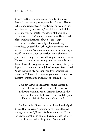discern, and the tendency to accommodate the ways of the world seems ever greater, never less. Instead of being a chaste spouse devoted to your Lord, you begin to flirt with the world. James warns, "Ye adulterers and adulteresses, know ye not that the friendship of the world is enmity with God? Whosoever therefore will be a friend of the world is the enemy of God" (James 4:4).

Instead of walking toward godliness and away from worldliness, you and the world begin to have more and more in common. Your motivations and inclinations begin to shift. At one time your possessions, entertainments, pursuits, and companions found their purpose and focus in Christ's kingdom, but increasingly you become allied with the world. As this happens, the world increasingly fills your days and subverts your heart. John Owen (1616–1683) said, "When the world fills our thoughts, it will entangle our affections."<sup>21</sup> The world consumes your heart, contrary to the stern commands and warnings of 1 John 2:15–16:

Love not the world, neither the things that are in the world. If any man love the world, the love of the Father is not in him. For all that is in the world, the lust of the flesh, and the lust of the eyes, and the pride of life, is not of the Father, but is of the world.

Is this not what Hosea warned against when the Spirit directed him to write: "Ephraim, he hath mixed himself among the people" (Hosea 7:8)? Burroughs said, "It is a very dangerous thing to be mixed with a wicked society."<sup>22</sup> Lot chose to dwell in the plains of Sodom and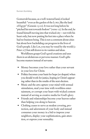Gomorrah because, as a well-watered land, it looked beautiful: "even as the garden of the LORD, like the land of Egypt" (Genesis 13:10). It was not long before he "pitched his tent towards Sodom" (verse 12). In the end, he found himself moving into that wicked city—not with his heart only, but now putting his feet into a place where he had no business being. This is not a comment about cities but about how backsliding can progress in the lives of God's people. Like Lot, you may be vexed by the world (2 Peter 2:7) but still drawn to its vanities and ideas.

Worldliness grasps God's good creations and uses them in an idolatrous or perverse manner. God's gifts become masters instead of servants:

- Money becomes your love rather than your servant in your love for Christ.
- Politics becomes your basis for hope (or despair) when you should work for justice, hoping in Christ's appearing rather than in the results of the next election.
- Music and the arts capture your mind with sensual stimulation, steal your time with worthless entertainment, or corrupt your heart with wicked content instead of serving as creative media for God's glory.
- Friends and relationships become your heaven rather than helping you along to heaven.
- Clothing ceases to serve as modest covering, protection, and adornment of your body and instead consumes your money in a bid to impress your neighbors, display your sophistication, gain attention, or express your sensuality.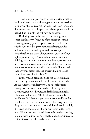Backsliding can progress so far that even the world will begin noticing your worldliness, perhaps with expressions of approval that you are not so "overly religious" anymore. Sometimes, even worldly people can be surprised at what a backsliding child of God will now do or allow.

**Declining love for believers.** Backsliding can advance so far that *brotherly love*, one of the most basic marks of saving grace (1 John 3:14), seems to all but disappear within you. You disagree over nominal matters with fellow believers, unwilling to set down your preferences for their sakes, and those disagreements grow into large fights. James 4:1 says, "From whence come wars and fightings among you? come they not hence, even of your lusts that war in your members?" Worldliness in church members foments wars within the church. Plumer said, "As piety thus dies in the soul, charity diminishes, and censoriousness takes its place."<sup>23</sup>

Your own self-promotion and self-protection can smother any thought of self-sacrifice or service to others. As this takes place collectively, God's people become strangers to one another instead of fellow pilgrims. Conflicts, troubles, disputes, and selfishness multiply. Ebenezer Erskine said, "Backsliders are commonly backbiters."<sup>24</sup> Of course, you convince yourself that the conflict is over truth, or some matter of consequence, but deep in your conscience you know it is really only a thinly disguised personality conflict or "turf war." Otherwise, how did you get along so well before? Instead of covering one another's faults, you now gladly take opportunities to talk against one another and defend yourselves.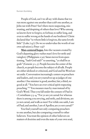People of God, can't we all say with shame that we run more *against* one another than *with* one another, as John ran with Peter? Isn't there more suspecting, mistrusting, and despising of others than love? Who among us knows how to forgive, to forbear, to suffer long, and even to suffer wrong at the hands of our brethren? Christ declared that "to whom little is forgiven, the same loveth little" (Luke 7:47). Do we so undervalue the worth of our own salvation (2 Peter 1:9)?

**Man-centered hopes.**Into the vacuum created by God's departing glory rushes man's love for strife and vainglory (Philippians 2:3a). Satan moves from questioning, "hath God said?" to asserting, "ye shall be as gods" (Genesis 3:1, 5). People become the center of the church, so people become the subject of all talk. People are either idolized or criticized, and God and his Word are set aside. Conversation increasingly centers on preachers and leaders, and you set yourselves up as judges of one another. One minister is good; another, fair; a third, no good at all. "You have an over-critical spirit respecting preaching."<sup>25</sup> You measure man by man instead of by God's Word. Thus you fall under the censure of Paul in 1 Corinthians 3:3–4, "For ye are yet carnal: for whereas there is among you envying, and strife, and divisions, are ye not carnal, and walk as men? For while one saith, I am of Paul; and another, I am of Apollos; are ye not carnal?"

You find yourself not only comparing preachers to one another, but also comparing yourself to other believers. You trust the opinion of other believers on matters of doctrine and even the state of your own soul,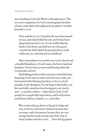not consulting God in his Word or through prayer. This is no new temptation, for God warned against this kind of man-centeredness throughout the prophets. Consider Jeremiah 17:5–6:

Thus saith the LORD; Cursed be the man that trusteth in man, and maketh flesh his arm, and whose heart departeth from the LORD. For he shall be like the heath in the desert, and shall not see when good cometh; but shall inhabit the parched places in the wilderness, in a salt land and not inhabited.

Man-centeredness is an awful curse on the church and a dreadful blasphemy of God's name, the fruit of spiritual deadness. You can have no personal blessing unless the Lord breaks it down!

Backsliding produces false assurance and feeble hope. Attaching God's name to man's activities may make you feel assured of his blessing, but this is to live in a fool's paradise of self-deception. If your hope is that feeble, you have probably aimed too low, having put your trust in men—yourself or others—rather than in God. God's people have sought false hope before, and God has frustrated those efforts, as Isaiah 31:1, 3 describes:

Woe to them that go down to Egypt for help; and stay on horses, and trust in chariots, because they are many; and in horsemen, because they are very strong; but they look not unto the Holy One of Israel, neither seek the LORD! . . . Now the Egyptians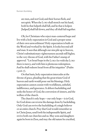are men, and not God; and their horses flesh, and not spirit. When the LORD shall stretch out his hand, both he that helpeth shall fall, and he that is holpen [helped] shall fall down, and they all shall fail together.

Oh, for Christians who reject man-centered hope and live with a holy expectation in God and a proper sense of their own unworthiness! Holy expectation is built on the Word and worked by the Spirit. It looks beyond self and man. It sees that although our sins pile up to heaven, Christ's substitutionary righteousness ascends still higher, to the very throne of God, with his Father's stamp of approval. "Let Israel hope in the LORD: for with the LORD there is mercy, and with him is plenteous redemption. And he shall redeem Israel from all his iniquities" (Psalm  $130:6-7$ ).

On that basis, holy expectation intercedes at the throne of grace, pleading that the great triune God of heaven and earth would pour out his blessings. Holy expectation cannot coexist with worldliness, unbelief, indifference, and ignorance. It abhors backsliding and seeks the honor of God, the conversion of sinners, and the welfare of the church.

The church's only hope—our only hope—is in God, for God alone can reverse the damage done by backsliding. Only God can revive the backsliding of a single believer or an entire church. Pray that God would remember us in Christ Jesus, send forth his indispensable Spirit, and revive both our churches and us. May sons and daughters again be born in Zion, and may the old nature be crucified,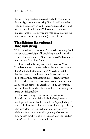the world despised, Satan resisted, and interceders at the throne of grace multiplied. May God himself receive his rightful place among us by divine conquest, so that Christ will become all in all for us (Colossians 3:11) and we might become increasingly conformed to his image as the firstborn among many brethren (Romans 8:29).

## The Bitter Results of Backsliding

We have established that we are "bent to backsliding," and we have discussed signs of backsliding. But what are the results of such sinfulness? Where will it lead? Allow me to mention just four bitter fruits.

**Injury to God's holy and worthy name.** When David committed adultery and murder, and then covered it up, God rebuked him, saying, "Wherefore hast thou despised the commandment of the LORD, to do evil in his sight? . . . thou hast despised me. . . . because by this deed thou hast given great occasion to the enemies of the LORD to blaspheme" (2 Samuel 12:9, 10, 14). How men will mock at Christ when they hear that those bearing his name acted shamefully!

The worst thing about backsliding is that it casts discredit on the name of the God who has given us so much grace. How it should wound God's people daily: "I am a backslider against him who gave himself up to death, who for six long, torturous hours hung upon a cross while mockers stood before him, saying, 'Come down if thou be the Christ.'" The life of a backslider is an insult to Christ's love displayed for us at the cross.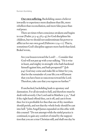**Our own suffering.** Backsliding causes a believer inwardly to experience more deadness than life, more rebellion than reconciliation, and more false peace than real peace.

There are times when conscience awakens and begins to roar (Psalm 32:3-4;  $38:3-4$ ), for God disciplines his children, but we should not underestimate his power to afflict us for our own good (Hebrews 12:4–11). That is, sometimes God's discipline appears more harsh than kind. Brakel wrote,

Are you brazen toward the Lord? . . . Consider that God will not put up with your sulking. "He is wise in heart, and mighty in strength: who hath hardened himself against him, and hath prospered?" (Job 9:4). God may come and make life so bitter for you, that for the remainder of your life you will lament that you have been so rancorous toward the Lord. Therefore, take care that you regress no further.<sup>26</sup>

If unchecked, backsliding leads to apostasy and damnation. For all sin tends to hell, and therefore must be dealt with severely. Our Lord said in Matthew 5:30, "And if thy right hand offend thee, cut it off, and cast it from thee: for it is profitable for thee that one of thy members should perish, and not that thy whole body should be cast into hell." John Angell James expanded on this ethic with this counsel: "Do not attempt while the sinful practice is continued, to gain any comfort of mind by the supposition that you are a true Christian still, and shall one day be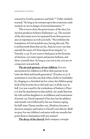restored to God by penitence and faith."<sup>27</sup> Fuller similarly warned, "So long as sin remains upon the conscience unlamented, we are in danger of eternal damnation."<sup>28</sup>

This is not to deny the perseverance of the elect, for election produces holiness (Ephesians 1:4). The security of the elect must never be separated from their perseverance in repentance as well as in faith. "Nevertheless the foundation of God standeth sure, having this seal, The Lord knoweth them that are his. And, let every one that nameth the name of Christ depart from iniquity" (2 Timothy 2:19). If you want to find peace in the doctrine of election, you must repent and pursue holiness, and show yourself elect. As long as you rest in sin, you are on a trajectory towards hell.

**The sin and apostasy of our children.** It is not uncommon for children to follow their parents in sin "unto the third and fourth generation" (Exodus 20:5). It sometimes is even the case that when a believer backslides by clinging to a cherished sin for a time, his children grasp hold of his favorite sin or idol and carry it all the way to hell. Lot was vexed by the wickedness of Sodom (2 Peter 2:7), but his attachment to that unholy city made him lose his wife and his daughters to worldliness and wantonness (Genesis 19). David repented of his sins, but his adultery and murder were followed by his son Amnon raping his half-sister Tamar; another son, Absalom, became a deceiver, usurper, and traitor to David's own throne. Shall we pray for our children's salvation with our mouths but point them to damnation with our actions?

**The decay of the church.**Bad company corrupts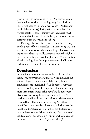good morals (1 Corinthians 15:33). One person within the church whose heart is turning away from the Lord is like "a root bearing gall and wormwood" (Deuteronomy 29:18, Hebrews 12:15). Using a similar metaphor, Paul warned that there comes a time when the church must remove such influences from the body to prevent further corruption (see 1 Corinthians 5:6b-7).

Even a godly man like Barnabas could be led astray into hypocrisy if Peter stumbled (Galatians 2:13). Do you want to be the cause of others stumbling? One slow-moving truck can back up traffic; one accident on the highway can create a traffic jam stretching for miles. You are not an island, standing alone. Your progress towards Christ or backsliding from him affects many others.

## Conclusion

Do you know what the greatest evil of such backsliding is? *We do not feel any guilt for it.* We complain about spiritual dryness, the darkness of the times, the sad condition of the church and of God's people, but what does the Lord say of such complaints? They are nothing more than empty words in his ears if we do not repent of our role in causing the deadness and darkness: "I hearkened and heard, but they spake not aright: no man repented him of his wickedness, saying, What have I done? Everyone turned to his course, as the horse rusheth into the battle" (Jeremiah 8:6). Where are the Jeremiahs today who can say with heart and soul, "For the hurt of the daughter of my people am I hurt; I am black; astonishment hath taken hold on me" (Jeremiah 8:21)?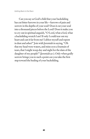*Getting Back in the Race*

Can you say as God's child that your backsliding has cut bitter furrows in your life—furrows of pain and sorrow in the depths of your soul? Does it cut your soul into a thousand pieces before the Lord? Does it make you to cry out in spiritual anguish, "O Lord, what a fool, what a backsliding wretch I am! If only I could tear out my heart and cast it far from me! I abhor myself and repent in dust and ashes!" Join with Jeremiah in saying, "Oh that my head were waters, and mine eyes a fountain of tears, that I might weep day and night for the slain of the daughter of my people!" (Jeremiah 9:1). Only when godly sorrow brings you to such a point can you take the first step toward the healing of your backsliding.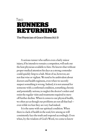# Two **RUNNERS** Returning

#### The Physician of Grace (Hosea 14:1-3)

A serious runner who suffers even a fairly minor injury, if he intends to remain a competitor, will seek out the best physician available to him. He knows that without proper medical attention his days as a strong contender could quickly limp to a halt. Most of us, however, are not that wise or vigilant. We tend to be ambivalent about doctors and health regimens, even when we secretly suspect something is wrong. Indeed, it is not unusual for someone with a confirmed condition, something chronic and potentially serious, to neglect the doctor's orders and resist the regular visits and treatments required to stave off further decline. When it comes to our physical health, we often act as though our problems are not all that bad even while we fear they are very bad indeed.

It is the same with our spiritual condition. When there is a lack of health in the soul, few among us will consistently face the truth and respond accordingly. Even when, by the wisdom of God's Word, we come to know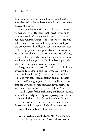the precise prescription for our healing, as well as the inevitable decline that will result from inaction, we prefer the ease of idleness.

The fact is that when it comes to diseases of the soul, we desperately need to return to the great Physician as soon as possible. We should not let cancers multiply in our souls. William Plumer (1802–1880) wrote, "He who is determined to see how far he may decline in religion and yet be restored, will lose his soul."<sup>29</sup> As we have seen, backsliding operates like a spiritual cancer: untreated, it can result in dishonor to God's name, personal suffering, apostasy of others, and decay in the church. At best, it is unwise and unloving to take a "wait and see" approach when such consequences are on the line.

The good news is that our Physician is full of wisdom, power, and grace for sinners. He says to us, "I am the LORD that healeth thee" (Exodus 15:26). He is willing to heal us even of the judgments that he himself sent to chasten us (Psalm 39:11, 99:8). "Come, and let us return unto the LORD: for he hath torn, and he will heal us; he hath smitten, and he will bind us up" (Hosea 6:1).

God has grace for his backsliding children. He reveals his wondrous and powerful grace in passages like Hosea 14, the conclusion to Hosea's prophecy about Israel's adulterous backsliding. We will consider here the first three verses of that chapter, which call us to return to the Physician of our souls so that we may find grace:

O Israel, return unto the LORD thy God; for thou hast fallen by thine iniquity. Take with you words,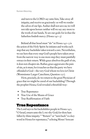and turn to the LORD: say unto him, Take away all iniquity, and receive us graciously: so will we render the calves of our lips. Asshur shall not save us; we will not ride upon horses: neither will we say any more to the work of our hands, Ye are our gods: for in thee the fatherless findeth mercy. (Hosea 14:1-3)

Behind all that Israel must "do" in Hosea 14:1-3 is the action of the Holy Spirit: he initiates and works each step that any backslider takes toward a cure. Nevertheless, we see here that every step God's people have taken away from the narrow way is one more step they must painfully retrace in their return. While grace absolves the *guilt* of sin, it does not *cheapen* sin. Rather, grace *aggravates* the pain of sin, as it must, for it teaches us that the party we have offended is God—the very God whom we love in Christ (Westminster Larger Catechism, Question 151).

How, precisely, do we return to the great Physician of grace that we might be cured of our backsliding? Through the prophet Hosea, God revealed a threefold way:

- True Repentance
- True Use of the Means of Grace
- • True Reaffirmation of Faith

# True Repentance

The Lord says to his backslidden people in Hosea 14:1, "O Israel, return unto the LORD thy God; for thou hast fallen by thine iniquity." "Return" or "turn back" is a key word in Hosea for repentance,<sup>30</sup> echoing Moses' forecast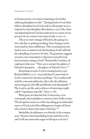in Deuteronomy of a nation returning to God after suffering discipline in exile.<sup>31</sup> Turning back to God often follows discipline from God, and it is the proper way to respond to such discipline (Revelation 3:19). Only when our departing from God has reduced us to a sense of our poverty do we come to our senses (Luke 15:16–17).

This is no mere change of lifestyle, like going on a low-salt diet or quitting smoking. Such changes can be motivated by sheer selfishness. This is turning from sin back to our covenant God, the breaking of self-will and the rekindling of our love for him. The grammar suggests not just a new orientation or direction towards God, but an actual coming to God. Thomas McComiskey (d. 1996) put it this way: "They are to reenter the sphere of Yahweh's dominion . . . the sphere of Yahweh's love."32

Returning to such a Lord is coming home to joy. Richard Sibbes ( $1577-1635$ ) said that if a man looks to God's creation for salvation and hope, "he is restless still until he come unto Jehovah, who is the all-sufficient, universal good, who fills and fills the soul abundantly."<sup>33</sup> The Lord is our life, and so this act of returning is aptly called "repentance unto life" (Acts 11:18).

What grace it is that the holy God invites, even commands, the backslider to return to him! Fuller wrote, "The Scriptures assure us of the exceeding great and tender mercy of God, and of his willingness to forgive all those who return to him in the name of his Son."<sup>34</sup>

Backslider, he addresses you directly in his compassion: "Return, thou backsliding Israel, saith the LORD; and I will not cause mine anger to fall upon you: for I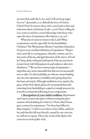am merciful, saith the LORD, and I will not keep anger for ever" (Jeremiah 3:12). Behold the love of God in Christ! How he runs to those who come back to him and welcomes them with kisses (Luke 15:20)! How willing he is to come in and have sweet fellowship with those who open the door of repentance (Revelation 3:19–20)!

What does it mean to return to the Lord? What is repentance exactly, especially for the backslidden Christian? The Westminster Shorter Catechism (Question 87) gives us an excellent definition of repentance: "Repentance unto life is a saving grace, whereby a sinner, out of a true sense of his sin, and apprehension of the mercy of God in Christ, doth, with grief and hatred of his sin, turn from it unto God, with full purpose of, and endeavor after new obedience."<sup>35</sup> We see here various steps of repentance steps that may seem reasonable but that are not necessarily easy to take. For the backslider, as with any sinner battling any sin, true repentance is multilayered, going deep into the heart and mind. Although enabled at every step by the grace of the Holy Spirit, please do not pretend that truly returning from backsliding is a quick or simple process, for it involves at least the following seven components.

**1. Recognition of your sinful condition.** Repentance and return cannot take place without seeing the grievousness of backsliding for what it is. Notice that Hosea gave a reason for repentance: "for thou hast fallen by thine iniquity." Until we see that we have fallen, and how far, and that this fall was directly caused by our own sin, we will never repent. This is the work of the Spirit who convicts us of sin (John 16:8).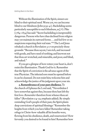Without the illumination of the Spirit, sinners are blind to their spiritual need. Worse yet, we can become blind to our blindness (John 9:39–41). Backsliding seems particularly susceptible to such blindness, as J. G. Pike  $(1784-1854)$  has said: "Secret backsliding is inexpressibly dangerous. Persons who have thus declined from religion may yet maintain its outward forms . . . and feel few or no suspicions respecting their real state."<sup>36</sup> The Lord Jesus rebuked a church in Revelation 3:17 on precisely those grounds: "Because thou sayest, I am rich, and increased with goods, and have need of nothing; and knowest not that thou art wretched, and miserable, and poor, and blind, and naked."

If you get a glimpse of how rotten your heart is, don't resist this illumination. Thank God for it. Remember that the Spirit of conviction is the advance agent of the true Physician. The infected sore must be opened before it can be cleansed. Do not resist him; welcome him and acknowledge the justice of his judgment upon your sin.

**2. Remembrance of your past obedience.** To the church of Ephesus the Lord said, "Nevertheless I have somewhat against thee, because thou hast left thy first love. *Remember* therefore from whence thou art fallen" (Revelation 2:4–5a, emphasis added). By simply reminding God's people of their past, the Spirit plants deep convictions of spiritual blessings: "Remember the heights from which you have fallen! Remember taking refuge in Christ–how valuable all his benefits were, flowing from his obedience, death, and resurrection! How fervently you desired to be found in him! Remember how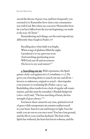sacred the throne of grace was, and how frequently you resorted to it. Remember how close your communion was with God. But where are you now? Remember how far you have fallen from the joyous beginning you made in the way of Christ."

Remembering such things, can the soul respond any differently than Asaph in Psalm 77?

Recalling days when faith was bright, When songs of gladness filled the night, I pondered o'er my grievous woes And searching questioning arose: Will God cast off and nevermore His favor to my soul restore? <sup>37</sup>

**3. Searching out sin.** With repentance, the Spirit grants a holy zeal against sin (2 Corinthians 7:11). He gives you a burning desire to search out any and all sin known or unknown, original or actual—that impedes your journey to everlasting life (Psalm 139:23–34). Backsliding often results from a lack of regular self-examination, and this must be remedied. Obadiah Sedgwick (1600–1658) said, "The less searching of heart, the less strength of grace always."<sup>38</sup>

You know there cannot be any true, spiritual revival of grace while unrepentant sin remains undiscovered in your heart. Search it out and bring it to light. Face the truth: you are not as you once were! You have lost ground, and the life in your soul has declined. The fruit of the Spirit has withered, the heart has lost its softness, and the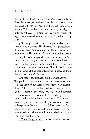throne of grace has lost its sweetness. Search carefully for the real cause of your sad condition. Make constant use of the searchlight of God's Word, as the surest guide in such matters: "Thy word is a lamp unto my feet, and a light unto my path. . . . The entrance of thy words giveth light; it giveth understanding unto the simple" (Psalm 119:105,  $130)$ .

**4. Grieving over sin.** Discovering sin leads to true sorrow for sin, described by the Heidelberg Catechism (Question 89) as "a sincere sorrow of heart that we have provoked God by our sins."<sup>39</sup> An all-consuming sorrow and fiery hatred of sin goes beyond grieving over sin's *consequences;* true grief over sin is concerned with *sin itself*—both original sin in Adam and the disastrous fruits of our actual sins—as an offense to God. So David says of his sin, "Against thee, thee only, have I sinned, and done this evil in thy sight" (Psalm 51:4a).

Paul makes this distinction in 2 Corinthians 7:10, "For godly sorrow worketh repentance to salvation not to be repented of: but the sorrow of the world worketh death." The true sorrow that produces repentance is "godly"—literally "according to God," or God-centered, God-motivated, God-oriented. This kind of grief is rooted in the desire to honor God's name. The sinner learns to grieve over sin more deeply because it dishonors or blasphemes (Romans 2:21–-24) the name of the God whom he earnestly desires to love and serve. Have you learned to hate sin because it dishonors God and hinders your enjoyment of him?

**5. Confessing your sin.**True sorrow must pour out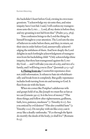the backslider's heart before God, owning its own transgressions. "I acknowledge my sin unto thee, and mine iniquity have I not hid. I said, I will confess my transgressions unto the LORD.... Lord, all my desire is before thee; and my groaning is not hid from thee" (Psalm 32:5, 38:9).

True confession brings to the Lord the things he himself brought to your attention. The Lord sets the sins of believers in order before them, and they, in return, set their sins in order before God, unreservedly acknowledging the sinfulness of them. And how deeply the Lord delights in such forthright acknowledgment of transgression from his backsliding child: "Only acknowledge thine iniquity, that thou hast transgressed against the LORD thy God. . . . and I will take you one of a city, and two of a family, and I will bring you to Zion" (Jeremiah 3:13–14)!

**6. Fleeing from sin.** Counterfeit repentance does not yield reformation. It refuses to hate sin wholeheartedly and break from it completely. But godly repentance includes both turning from sin and turning to God. It flees from sin with the heart.

When sin comes like Potiphar's adulterous wife and grasps hold of us, like Joseph we must flee as fast as we can (Genesis 39:12). Is it the love of money? "Flee these things; and follow after righteousness, godliness, faith, love, patience, meekness" (1 Timothy 6:11). Are you enticed by evil desires? "Flee also youthful lusts" (2 Timothy 2:22). Do not play with sin like a toy; cast it away like a deadly rattlesnake. "If ye through the Spirit do mortify the deeds of the body, ye shall live" (Romans 8:13).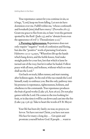True repentance cannot let you continue in sin, so it begs, "Lord, keep me from falling. Let not sin have dominion over me. Fulfill within me, 'whoso confesseth and forsaketh [sins] shall have mercy' (Proverbs 28:13). Grant me grace to flee from sin, to hate 'even the garment spotted by the flesh' (Jude 23), and to 'abstain from even the appearance of evil' (1 Thessalonians 5:22)."

**7. Pursuing righteousness.** Repentance does not only require "negative" work of confession and fleeing, but also the "positive" work of pursuing God anew. Hebrews 12:12–14 says, "Wherefore lift up the hands which hang down, and the feeble knees; And make straight paths for your feet, lest that which is lame be turned out of the way; but let it rather be healed. Follow peace with all men, and holiness, without which no man shall see the Lord."

Get back on track, fallen runner, and start running after holiness again. At the end of the race stands the Lord himself, ready to embrace you. But the only pathway into his presence is repentance, righteousness, holiness, and obedience to his commands. True repentance produces the fruit of good works (Luke 3:8, Acts 26:20). Do not play games with the Lord. He comes to the tree looking for fruit, or in due time it will be cut down and cast into the fire (Luke 3:9; 13:6–9). Take to heart the words of F. B. Meyer:

Your life has been dry lately; no tear, no prayer, no fervor. Yet have not met Christ, you have not seen His face for many a long day.... Get quiet and prostrate yourself before God. If people . . . want to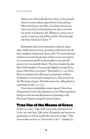detain you with small talk, leave them. Cast yourself down in some solitary place before God, and say, "May God forgive me! May God show me the sin, show me what it is that hinders me, show me what has nearly wrecked my life. Whatever comes, may I not be a castaway, but still be used by Thee through the Holy Ghost for Christ."<sup>40</sup>

Remember, there is no restoration without repentance. Sadly there are many preachers in this land who fit this complaint of Jeremiah all too well: "For from the least of them even unto the greatest of them every one is given to covetousness; and from the prophet even unto the priest every one dealeth falsely. They have healed also the hurt of the daughter of my people slightly, saying, Peace, peace; when there is no peace" (Jeremiah 6:13–14). Don't listen to teachers who offer peace and pardon without brokenness over sin and turning from it. This is not from the Physician of grace. He heals sinners by calling them to repentance (Luke  $\zeta$ : $\zeta$ 1–32).

How does a backslidden sinner repent? How does the gracious Lord work repentance in us? These questions bring us to the second dimension of returning to the Physician of grace: using the means of grace.

# True Use of the Means of Grace

Hosea 14:2 says, "Take with you words, and turn to the LORD: say unto him, Take away all iniquity, and receive us graciously: so will we render the calves of our lips." This verse teaches us *how* to "turn to the LORD" — namely, by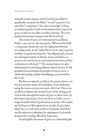using the means of grace which God has provided. It specifically mentions the Bible ("words"), prayer ("say unto him"), and praise ("the calves of our lips"). These are linked together: God's *words* teach us how to *pray* for grace, so that we can offer a sacrifice of *praise*. The most fundamental means of grace is the Word of God.

The means of grace are instrumental to godliness. Psalm 119:9 conveys this succinctly: "Wherewithal shall a young man cleanse his way? by taking heed thereto according to thy word." John Flavel (1628–1691) urged us similarly to guard our hearts by "the diligent and constant use and improvement of all holy means and duties, to preserve the soul from sin, and maintain its sweet and free communion with God."<sup>41</sup> The means of grace are also instrumental in restoring godliness when it decays. So the prophet Hosea instructs the people of God on how to obtain the healing of their backslidings, as promised by the Lord.

But here we must be careful or *the means of grace can become another means of backsliding*. Don't think that using the means can win you merit with God. This is not an effort to balance the record of our evil by doing good. God works through the means of grace to show mercy to hell-deserving sinners. Don't use them as if they were a magic formula which, if performed correctly, will conjure up God's power like a genie from a bottle. God is absolutely free to work when and how he pleases. And don't use the means as a substitute for repentance; God utterly despises the worship offered by hypocrites.

If used rightly the means of grace are a beautiful path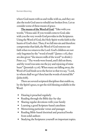where God meets with us and walks with us, and they are also the tools God uses to rebuild our broken lives. Let us consider some of these means of grace.

**The means of the Word of God.** "Take with you words," Hosea said. If you would come to God, take with you the very words God provides in the Scriptures. Using the Word of God, the Holy Spirit works faith in the hearts of God's elect. Then, if we fall into sin and therefore compromise that faith, the Word of God restores our faith when we return to the Lord. God's children are not only begotten by the "word of truth" (James 1:18), they are also given "the sincere milk of the word" to drink (1 Peter 2:2). "Thy words were found, and I did eat them; and thy word was unto me the joy and rejoicing of mine heart" (Jeremiah 15:16). When many are falling away, the Word of God binds us to the Savior so that we say, "Lord, to whom shall we go? thou hast the words of eternal life" (John 6:68).

There are several scriptural disciplines that enable us, by the Spirit's grace, to get the rich blessing available in the Word:

- Hearing it preached regularly
- Reading through the Bible day-by-day
- Sharing regular devotions with your family
- • Learning a good Scripture-based catechism
- • Memorizing particular verses and passages
- Reading Bible-based doctrinal and practical books from solid authors
- Studying the Scriptures yourself on important topics.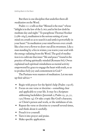But there is one discipline that underlies them all: *meditation* on the Word.

Psalm 1:1–2 tells us that "Blessed is the man" whose "delight is in the law of the LORD; and in his law doth he meditate day and night." To paraphrase Thomas Hooker (1586–1647), meditation is the serious setting of your mind on a truth so as to search it and settle it powerfully in your heart.<sup>42</sup> In meditation your mind hovers over a truth like a bee over a flower to draw out all its sweetness. Like a man standing by a fire in winter, you warm your soul with the energy radiating from the Word. The goal of meditation is to cultivate that inner "life and peace" found in the practice of being spiritually minded (Romans 8:6). Owen explained such spiritual-mindedness as mental activity empowered by grace to engage the heart with truth, so as to produce holy joy and contentment in God.<sup>43</sup>

The Puritans were masters of meditation. Let me sum up their advice: 44

- Begin with prayer for the Spirit's help (Psalm 119:18).
- Focus on one verse or doctrine—something clear and applicable to your life. It may be a Scripture addressing backsliders (Jeremiah 2; Psalm 25, 32, 51, 130; Hosea 14). Or take a topic like God's character, or Christ's person and work, or the sinfulness of sin.
- Repeat the verse or doctrine to yourself several times, and think about it carefully.
- Preach it to yourself.
- Turn it into prayer and praise.
- Make specific application.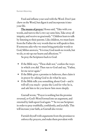Feed and inflame your soul with the Word. Don't just chew on the Word, but digest it and incorporate it into your life.

**The means of prayer.** Hosea said, "Take with you words, and turn to the LORD: say unto him, Take away all iniquity, and receive us graciously." Children learn to talk by listening to their parents. Like children, we must learn from the Father the very words that we will speak to him. If someone asks why we must bring particular words to God, Sibbes answers, "It is true; God needs no words, but we do, to stir up our hearts and affections."<sup>45</sup>

So pray the Scriptures back to God:

- If the Bible says, "Thou shalt not," confess the ways in which you *did*. Then run to God and say, "Father, let me never again."
- • If the Bible gives a promise to believers, then claim it in prayer by asking God to do what he says.
- If the Bible tells you something about God—and it will tell you much—praise the Lord for who he is, and ask him to let you know him more deeply.

Gurnall wrote, "Prayer is nothing but the promise reversed, or God's Word formed into an argument, and retorted by faith upon God again."46 So we use Scripture in order to pray truthfully, confidently, and joyfully. This will increase your faith, as Gurnall also wrote:

Furnish thyself with arguments from the promises to enforce thy prayers, and make them prevalent with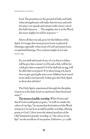God. The promises are the ground of faith, and faith, when strengthened, will make thee fervent, and such fervency ever speeds and returns with victory out of the field of prayer. . . . The mightier any is in the Word, the more mighty he will be in prayer. 47

Above all that you ask, pray for the fullness of the Spirit. It is tragic that most prayers focus on physical blessings, especially when most of God's promises focus on spiritual blessings. Pray as Jesus taught us in Luke 11:11–13:

If a son shall ask bread of any of you that is a father, will he give him a stone? or if he ask a fish, will he for a fish give him a serpent? Or if he shall ask an egg, will he offer him a scorpion? If ye then, being evil, know how to give good gifts unto your children: how much more shall your heavenly Father give the Holy Spirit to them that ask him?

The Holy Spirit, experienced through the discipline of prayer, is the daily food we need more than bread and meat.<sup>48</sup>

**The means of public worship.** When Hosea said that if God would grant us grace, "so will we render the calves of our lips," he meant that the fruition of the Word and prayer in our lives would be public worship, offering praise to God. Calves were the animal sacrifices of the Old Testament's priestly worship, so "the calves of our lips" are the sacrifices of our praises. Hebrews 13:15 tells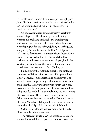us we offer such worship through our perfect high priest, Jesus: "By him therefore let us offer the sacrifice of praise to God continually, that is, the fruit of our lips giving thanks to his name."

Of course, it makes a difference with what church you worship. It will hardly cure your backsliding to worship in a backslidden church! But worshipping with a true church—where there is a body of believers worshipping God in the Spirit, rejoicing in Christ Jesus, and putting "no confidence in the flesh" (Philippians 3:3)—can be the means of your rescue from the pit. Envy towards the wicked and mistrust towards God had so darkened Asaph's soul that he almost slipped, but in the sanctuary of God he saw the doom of the wicked and tasted afresh the sweetness of God (Psalm 73).

Find a church that faithfully preaches the Bible and confesses the Reformation doctrines of Scripture alone, Christ alone, grace alone, faith alone, and glory to God alone. Listen to the preaching with a sense of expectation and desire that God would meet with you in the Word. Become a member and pour your life into that church as a living sacrifice to God. Quit complaining and start serving. Cultivate a thankful heart towards your leaders and fellow members. Support the church with your tithes and offerings. Much backsliding could be avoided or remedied simply by faithful participation in a faithful church.

So far we have looked at three means mentioned in Hosea 14:2. But there are others.

**The means of afflictions.** God uses trials to heal the souls of his backsliding people. God uses sorrow to turn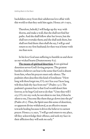backsliders away from their adulterous love affair with this world so that they seek him again. Hosea 2:6–7 says,

Therefore, behold, I will hedge up thy way with thorns, and make a wall, that she shall not find her paths. And she shall follow after her lovers, but she shall not overtake them; and she shall seek them, but shall not find them: then shall she say, I will go and return to my first husband; for then was it better with me than now.

In his love God uses suffering to humble us and show us our wicked hearts (Deuteronomy 8:2).

**The means of spiritual desertion.** Even spiritual desertion serves God's loving purpose. The greatest burden a believer can bear is the sense that God is absent from him, when his prayers meet only silence. The psalmist often describes this kind of loneliness: "How long wilt thou forget me, O LORD? for ever? how long wilt thou hide thy face from me?" (Psalm 13:1). The psalmist's greatest fear is that God would desert him forever, so he begs God not to do that: "Unto thee will I cry, O LORD my rock; be not silent to me: lest, if thou be silent to me, I become like them that go down into the pit" (Psalm 28:1). Thus, the Spirit uses this sense of desertion, or apparent divine withdrawal, as an effective means towards healing because it drives the believer to earnest prayer. Hosea 5:15 says, "I will go and return to my place, till they acknowledge their offence, and seek my face: in their affliction they will seek me early."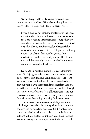We must respond to trials with submission, not resentment and rebellion. We are being disciplined by a loving Father for our good. Hebrews 12:5b–7 says,

My son, despise not thou the chastening of the Lord, nor faint when thou art rebuked of him: For whom the Lord loveth he chasteneth, and scourgeth every son whom he receiveth. If ye endure chastening, God dealeth with you as with sons; for what son is he whom the father chasteneth not?" If you are suffering under God's hand, then humble yourself and meditate on his character and your sin. Thank him that he did not merely cast you into hell but pursues your heart with relentless love.

Do not, then, resist his pursuit. It is a dreadful thing when God's judgments fall upon a church, yet his people do not turn to him. Jodocus Van Lodenstein (1620–1677) saw it as a proof that God was departing from his church "that our people are persistent and incorrigible in their evil ways (Psalm 55:19), despite the calamities that have brought our nation into such straits."<sup>49</sup> If afflictions come, and our hearts are unmoved, woe to us! Let us cry out all the more for deliverance, beginning by asking for broken hearts.

**The means of human accountability.** In our individualistic age, we tend to view our spiritual lives as our own concern and no one else's business. But it is not so. God has placed all of us in human society and under human authority. It may be that your backsliding has provoked a censure from your parents, or penalties from the civil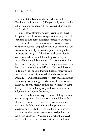government. God commands you to honor authority (Exodus 20:12, Romans 13:1). Do you really expect to rise out of your poor condition if you keep rebelling against God's order?

This is especially important with respect to church discipline. Your elders have a responsibility for your soul, so submit to their admonition and correction (Hebrews 13:17). Your church has a responsibility to correct you privately, to rebuke you publicly, and even to remove you from membership if you do not repent of your public  $sin$  (Matthew 18:15–18). The aim of such correction is to restore you from your fall and help you bear your spiritual burdens (Galatians 6:1–2). Love your elders for their efforts to help you. Forgive the imperfections of how they offer that help. Say with David, "Let the righteous smite me; it shall be a kindness: and let him reprove me; it shall be an excellent oil, which shall not break my head" (Psalm 141:5). Christ himself is present in church censures, sovereignly disciplining you (Matthew 18:20, 1 Corinthians 5:4). Submit meekly to their exhortations; let them drive you to Christ. It may very well save your soul on Judgment Day (1 Corinthians 5:5).

One of the best ways to prevent backsliding or arrest it early in its progress is voluntary accountability with a friend (Hebrews 3:13, 10:24–25). An accountability partner is a faithful friend who is willing to ask hard questions on a regular basis and to administer warnings and rebukes when he sees you starting to slip. This is an exercise in true love: "Open rebuke is better than secret love. Faithful are the wounds of a friend; but the kisses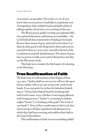of an enemy are deceitful" (Proverbs 27:5–6). If you know that you are prone to backslide in a particular area of temptation, find a faithful friend and build a habit of talking together about how you are doing in that area.

The Word, prayer, public worship, providential affliction, spiritual desertion, and human accountability—the Lord holds all these instruments of healing in his hands. Receive these means of grace and seek God in them. Let them do their good work. Respond to them and exercise yourself in them as a way to lay yourself at the feet of the Lord Jesus in total self-abandonment. The means of grace have no power to help you in and of themselves, but they are the Physician's tools.

This leads us to consider the third aspect of returning to the Physician.

## True Reaffirmation of Faith

The final verse we will examine in this chapter, Hosea 14:3, says, "Asshur shall not save us; we will not ride upon horses: neither will we say any more to the work of our hands, Ye are our gods: for in thee the fatherless findeth mercy." Hosea had rebuked Israel for breaking faith with God in many ways, whether it was forging alliances with foreign powers ("Asshur"), or trusting in military might ("horses"), or looking to false gods ("the work of our hands"). Now, if they would return to the Lord, they must renounce all these expedients and alternatives to which they had been resorting and reaffirm their faith in the God of their fathers.

This reaffirmation of faith was not something added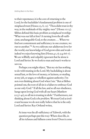to their repentance; it is the core of returning to the Lord, for the backslider's fundamental problem is one of misplaced trust (Hosea 2:5, 8, 12). "Thou didst trust in thy way, in the multitude of thy mighty men" (Hosea 10:13). Sibbes defined this basic problem as misplaced worship: "What was our fall at first? A turning from the all-sufficient, unchangeable God, to the creature. . . . When we find not contentment and sufficiency in one creature, we run to another."<sup>50</sup> As we cultivate our adulterous love for the world, our knowledge of God grows dim and weak indeed we reject knowing him (Hosea 4:1, 6; 5:4; 6:6–7). We are willfully and culpably ignorant that he alone is Lord and Savior. So we look to man and man's works to save us.

Perhaps you might object, "But my sin has nothing to do with trusting in the Lord. My backsliding is about sexual lust, or the love of money, or laziness, or stealing at my job, or anger, or rebellion against authority. I'm not even thinking about God when I sin." But as Sibbes pointed out, the root of all sin is a failure to embrace God as our only God.<sup>51</sup> If all the law, and so all our obedience, hangs upon loving God with all our heart (Matthew 22:37–40), so all sin is trusting in idols.<sup>52</sup> Furthermore, not thinking about God *is the problem*. We treat God as irrelevant because we do not really believe that he is the only Lord and Savior. Ray Ortlund writes,

At issue was the all-sufficiency of Yahweh, with the question perhaps put this way: Where does life, in all its richness and fullness come from? Does it come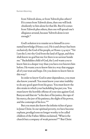from Yahweh alone, or from Yahweh plus others? If it comes from Yahweh alone, then one will look obediently to him alone for that life. But if it comes from Yahweh plus others, then one will spread one's allegiance around, because Yahweh alone is not enough.<sup>53</sup>

God's solution is to reunite us to himself in covenantal knowledge (Hosea 2:20). He is and always has been exclusively the God of his people, as Hosea 13:4 says: "Yet I am the LORD thy God from the land of Egypt, and thou shalt know no god but me: for there is no saviour beside me." Backslidden child of God, the Lord wants you to know him in a deeper way than you have ever known him before. He wants you to know him in a way that engages all of your trust and hope. Do you desire to know him in this way?

In order to know God in utter dependence, you must also know yourself. You must know your utter inability to do any good apart from his grace. You must know the dire straits in which your backsliding has put you. You must know the horrible offense of your sins against God. Bunyan said that sin "is the dare of his justice, the rape of his mercy, the jeer of his patience, the slight of his power, and the contempt of his love."<sup>54</sup>

But you must also know the infinite riches of grace in Jesus Christ. In our spiritual poverty, we have become orphans, prodigal sons no longer worthy to be called children of the Father. Sibbes exclaimed, "What is the church but a company of weak persons?"55 But Christ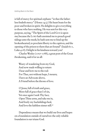is full of mercy for spiritual orphans: "in thee the fatherless findeth mercy" (Hosea 14:3). His heart beats for the poor and broken in spirit. He delights to give everything to those who have nothing. He was sent for this very purpose, saying, "The Spirit of the Lord GOD is upon me; because the LORD hath anointed me to preach good tidings unto the meek; he hath sent me to bind up the brokenhearted, to proclaim liberty to the captives, and the opening of the prison to them that are bound" (Isaiah 61:1, Luke 4:18). Delight in his kindness toward you!

Charles Wesley (1707–1788), a great poet of the Great Awakening, said it for us all:

Weary of wandering from my God, And now made willing to return I hear and bow me to the rod: For Thee, not without hope, I mourn; I have an Advocate above, A Friend before the throne of love.

O Jesus, full of truth and grace, More full of grace than I of sin, Yet once again I seek Thy face; Open Thine arms, and take me in, And freely my backslidings heal, And love the faithless sinner still.<sup>56</sup>

Dependence means that we build our lives and hopes on a foundation outside of ourselves: the only reliable foundation is our triune God.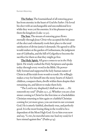**The Father.** The fountainhead of all restoring grace lies from eternity in the heart of *God the Father*. He loved his elect with an unchangeable and unconditional love while they were yet his enemies. It is his pleasure to give them the kingdom (Luke 12:32).

**The Son.** The stream of restoring grace flows eternally through *Jesus Christ* who accepted the full cause of the elect and voluntarily took their place to the total satisfaction of divine justice's demands. He agreed to all he would endure at the garden of Gethsemane, the judgment seat of Gabbatha, and the hill of Golgotha to become the sacrifice for them so that they might go free.

The Holy Spirit. All grace comes to us in *the Holy Spirit*. He wisely crafted the Holy Scriptures and speaks today through every word in the Bible. He powerfully formed and supported the holy human nature of Christ in all his trials from womb to tomb. He willingly makes a way for himself into the stony hearts of Adam's children, conquers them, dwells within them despite their remaining sin, and labors to make them holy.

"The Lord is my shepherd; I shall not want. . . . *He* restoreth my soul" (Psalm 23:1, 3). Whether you are a lost sinner coming to Christ for the first time or a backslidden Christian returning to him again or a faithful Christian coming for yet more grace, you can trust in our covenant God. He is utterly faithful, absolutely true, and perfectly good. It is the most freeing thing in the world to be a dependent of the Most High God. Go to him even now and say, "LORD, be merciful unto me: heal my soul; for I have sinned against thee" (Psalm 41:4).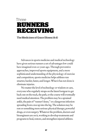# Three **RUNNERS** Receiving

#### The Medicines of Grace (Hosea 14:4)

Advances in sports medicine and medical technology have given serious runners a set of advantages few could have imagined even 20 years ago. Through preventive approaches, improved sports equipment, and a more sophisticated understanding of the physiology of exercise and competition, sports medicine helps athletes run smarter, harder, faster, and longer. What it has not done is eliminate injuries.

No matter the level of technology or wisdom or care, everyone who regularly straps on the latest footgear to get back out on the track, the path, or the course will eventually need medical attention. The problem may be a sprained ankle, the pain of "runner's knee," or a dangerous infection spreading from a toe up into the leg. The solution may be rest or something more serious: physical therapy, powerful drugs, or even surgery. Whatever the problem, doctors and bioengineers are on it, working to develop treatments and programs to heal, restore, and strengthen injured athletes.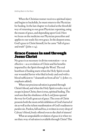When the Christian runner receives a spiritual injury and begins to backslide, he must return to the Physician for healing. In the last chapter we looked at the threefold way of returning to our great Physician: repenting, using the means of grace, and depending upon God. Here we focus on the medicine our Physician prescribes and applies to our souls: his own grace. In the deepest sense, God's grace is Christ himself, for he came "full of grace and truth" (John 1:14).

### Grace Comes in and through Jesus Christ

No grace is as necessary in divine restoration—or as effective—as a revelation of Christ and his benefits imparted by the Spirit through the Word. The real heartbeat of healing starts when the Holy Spirit reveals our wounded Savior who bled in body and soul with a blood sufficient to "cleanseth us from *all* sin" (1 John 1:7, emphasis added).

When our precious salvation is granted through Christ's blood, and when the Holy Spirit reveals a way of escape in Jesus Christ, there is true, spiritual healing. The soul sees that the obedience of the Lord Jesus opened the way for God's great act of grace. The cross of Christ presents both the most awful exhibition of God's *hatred* of sin as well as the richest manifestation of God's readiness to *pardon* sin. Pardon, full and free, is written in every drop of Calvary's blood, freely offered even to the chief of sinners!

What an unspeakable revelation of grace it is when we see that a way of salvation is available through Christ! This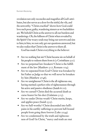revelation not only reconciles and magnifies all God's attributes, but also serves as a door for the sinful, the vile, and the unworthy. "Christ crucified" shows how God could love such poor, guilty, wandering sinners as we backsliders are. We behold Christ as the answer to all our burdens and wanderings. Oh, the fullness of Christ when revealed by the Spirit! Our weary souls may bring our sorrows and sins to him; in him, we not only get our questions answered, but we also realize that Christ is the answer to them all.

God has made Christ everything to the believer:

- Are we nothing but sin? Christ became sin on behalf of his people to redeem them from it (2 Corinthians 5:21).
- • Are we perpetual law-breakers? Christ is the fulfillment of the law (Matthew 5:17, Romans 10:4).
- Are we separated from God? Christ was forsaken by his Father as Judge so that we will never be forsaken by him (Matthew 27:46).
- Are we unrighteous? Christ is the all-righteous one, having merited a perfect robe of righteousness through his active and passive obedience (Isaiah 61:10).
- Are we cursed? Christ died the accursed death as curse-bearer for his elect (Galatians 3:13).
- Are we under Divine wrath? Christ merits, keeps, and applies peace (Isaiah  $53:5$ ).
- • Are we hell-worthy? Christ descended into hell's pains in his earthly sufferings to prevent hell-bound people from going there forever (Luke 22:44).
- Are we condemned by the truth and righteousness of God? In Christ, "mercy and truth are met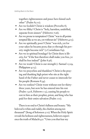together; righteousness and peace have kissed each other" (Psalm 85:10).

- Are we foolish? Christ is wisdom (Proverbs 8).
- Are we filthy? Christ is "holy, harmless, undefiled, separate from sinners" (Hebrews 7:26).
- Are we prone to temptation? Christ "was in all points tempted like as we are, yet without sin" (Hebrews 4:15).
- Are we spiritually poor? Christ "was rich, yet for your sakes he became poor, that ye through his poverty might become rich" (2 Corinthians 8:9).
- • Are we in spiritual bondage? In Christ there is liberty, for "if the Son therefore shall make you free, ye shall be free indeed" (John 8:36).
- Are we weak? Christ is our strength (1 Samuel 15:29, Philippians 4:13).
- Are we prayerless and thankless? Christ is the praying and thanking high priest who sits at the right hand of the Father and never ceases to intercede for his people (Romans 8:34).
- Are we restless? Christ went without rest for thirtythree years, but now he has entered into his rest (Psalm 132:8, Hebrews 1:3), causing his people to rest in him as their prophet, priest, and king who has paid for their entire salvation (Psalm 110).

There is no end to Christ's fullness and beauty. "My beloved is white and ruddy, the chiefest among ten thousand" (Song of Solomon 5:10). When the Holy Spirit reveals his holiness and righteousness, believers experience the truth of Malachi 4:2: "Unto you that fear my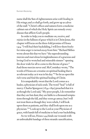name shall the Sun of righteousness arise *with healing* in His wings; and ye shall go forth, and grow up as calves of the stall." Christ's offices and natures form a medicine cabinet out of which the Holy Spirit can remedy every disease that afflicts God's people.

In order to help you to meditate on, receive, and rejoice in the fullness of grace which is in Christ Jesus, this chapter will focus on the three-fold promise of Hosea 14:4, "I will *heal* their backsliding, I will *love* them freely: for mine *anger is turned away* from him." Richard Sibbes wrote about this that we have "the superabounding mercies and marvelous lovingkindnesses of a gracious and loving God to wretched and miserable sinners" opening the door wide for all to come to the throne of grace.<sup>57</sup> And those mercies never end. McComiskey wrote, "The words of Hosea are a treatise on spiritual healing that is as relevant today as it was in his day."<sup>58</sup> So let us open this rich verse and find the spiritual healing of Christ.

It is unspeakably sweet that the Lord comes as a healer, a physician of sick souls. The word "heal" is full of mercy. Charles Spurgeon (1834–1892) preached that it is as though the Lord said, "My poor people, I do remember that they are but dust; they are liable to a thousand temptations through the fall, and they soon go astray; but I will not treat them as though they were rebels, I will look upon them as patients, and they shall look upon me as a physician."<sup>59</sup> Look up to the Lord as your Physician of grace, with hands full of medicine to heal your backsliding.

As we will see, Hosea 14:4 binds our wounds with an unbreakable bandage of three strands: sanctification,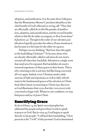adoption, and justification. It is the same three-fold grace that the Westminster Shorter Catechism identifies as the chief benefit of God's effectual or saving call: "They that are effectually called do in this life partake of justification, adoption, and sanctification, and the several benefits which in this life do either accompany or flow from them" (Question 32). Though in the order of our salvation, justification logically precedes the others, Hosea mentions it last because it is the basis for the other two graces.

Perhaps you are thinking, "But how does this apply to the backsliding Christian?" To be sure, those who are already effectually called to salvation do not need a second call when they backslide. Salvation is a single event that need never be repeated. But backsliders do need a renewed experience of these graces in their hearts. That is why returning to the Lord may feel like being converted all over again. Indeed, every Christian needs a daily exercise of faith and repentance as well as daily refreshment in the fundamental graces of his salvation in Christ. And others intent on returning to Christ may discover, as God illuminates their eyes, that they were never truly converted to begin with. Whatever our condition, we may find peace and joy in Jesus Christ.

### Sanctifying Grace

So far in Hosea 14, the Spirit-moved prophet has addressed the people and given them words to speak in prayer to God. But in verse 4a, God begins to speak directly to his people: "I will heal their backsliding," How precious is the "I will" of this promise! God is determined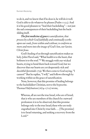to do it, and we know that if he does it, he will do it well. God is able to do whatever he pleases (Psalm 115:3). And it is his good pleasure to "heal their backsliding"—not just the sad consequences of their backsliding but the backsliding itself.

*The first medicine of grace is sanctification, that process by which God faithfully and continually works upon our souls, from within and without, to conform us more and more into the image of God's Son, our Savior, Christ Jesus.*

God's healing of us through sanctification makes us holy. John Flavel said, "What health is to the heart, that holiness is to the soul."<sup>60</sup> We struggle with our wicked hearts, trying to bend them back toward God, but we discover that our hearts are yet desperately sick and deceitful (Jeremiah 17:9). We then come to God saying, "I cannot!" But he replies, "I will," and follows through by working within us the grace of sanctification.

Note, however, that this promise of healing belongs to the backslidden Christian, not to the hypocrite. Thomas Halyburton (1674–1712) wrote,

Whereas, all are not the true Israel, who are of Israel; that is who are members of the church by outward profession: it is to be observed, that this promise belongs only to the true Israel; these who are truly engrafted into Christ by true faith. . . . [The promise] is to Israel returning, and seeking a recovery from the Lord. $61$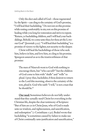Only the elect and called of God—those regenerated by the Spirit—can cling to the certainty of God's promise, "I will heal their backsliding." Do not rest on this promise while resting comfortably in sin; rest on this promise of healing while you long for restoration and strive to repent. "Return, ye backsliding children, and I will heal your backslidings. Behold, we come unto thee; for thou art the LORD our God" (Jeremiah 3:22). "I will heal their backsliding" is a promise of victory to the fighter, not security to the sleeper.

Christ will heal the backslidings of those who seek him, believe in him, and love him, so cling to his promise. Spurgeon assured us as to the trustworthiness of that promise:

The men of Nineveh went to God with nothing to encourage them, but "who can tell?" but the children of God come to him with "shalls" and "wills" to plead. I pray thee, backslider, if thou desirest to return to the Lord this morning, observe the certainty of the text, plead it. God who saith "I will," is not a man that he should lie.<sup>62</sup>

**Our need.** Sometimes believers do not fully understand that they actually need Christ for everything in the Christian life, despite the clear testimony of Scripture: "But of him are ye in Christ Jesus, who of God is made unto us wisdom, and righteousness, and sanctification, and redemption" (1 Corinthians 1:30). Brakel wrote that backsliding "is sometimes caused by failure to make use of Christ continually unto justification and sanctification,"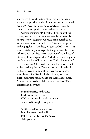and as a result, sanctification "becomes more a natural work and approximates the virtuousness of unconverted people."<sup>63</sup> Every day must be a gospel day—a day to come to Christ again for more undeserved grace.

Without the union of Christ the Physician with his people, true healing sanctification would never take place, no matter how "religious" we could make ourselves. All sanctification lies in Christ. He said, "Without me ye can do nothing" (John 15:5). Indeed, Walter Marshall (1628–1680) wrote that the only way to get the things you need in order to keep God's law "is to receive them out of the fullness of Christ, by fellowship with him," which, of course, requires that "we must be in Christ, and have Christ himself in us."<sup>64</sup>

The fact that Christ is all our sanctification does not lead to passive quietism. We must not lie back and wait for him to have his way with us—as if such disobedience pleased him. To echo the last chapter, we must exert ourselves to repent and to use the means of grace. We must be the soldiers of the cross whom Isaac Watts described in his hymn:

Must I be carried to the skies On flowery beds of ease, While others fought to win the prize, And sailed through bloody seas?

Are there no foes for me to face? Must I not stem the flood? Is this vile world a friend to grace, To help me on to God?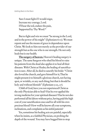Sure I must fight if I would reign; Increase my courage, Lord. I'll bear the toil, endure the pain, Supported by Thy Word.<sup>65</sup>

But to fight and win we must "be strong in the Lord, and in the power of his might" (Ephesians 6:10). We must repent and use the means of grace in dependence upon Christ. We look to him not merely as the provider of our strength but as the one who is our strength. He not only heals but is our health.

**The surgery of heaven.** Heaven's healing surgery is unique. The same Surgeon who shed his blood to raise his patients from the dead also applies it to heal all their diseases. With Christ as Healer, the healing of sanctification is sure. After all, he died to sanctify his bride: "Christ also loved the church, and gave himself for it; That he might present it to himself a glorious church, not having spot, or wrinkle, or any such thing; but that it should be holy and without blemish" (Ephesians 5:25, 27).

Child of God, have you not experienced Christ as the only Physician able to heal? Has he ever applied the wrong medicine for your spiritual diseases? Has he not also performed all his labors without price, having paid the high cost of your sanctification once and for all with his own precious blood? How well he knows all your symptoms, inclinations, and complaints as his sinful patients!

Yes, sometimes his healing acts are painful, especially when he insists, as a faithful Physician, on probing the depth of the wound. You may have begged him to stop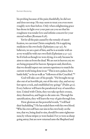his probing because of the pain; thankfully, he did not and does not stop. He may seem to treat you even more roughly now than before. Only when enlightening grace has shone its light over your past can you see that his roughness was tender love and infinite concern for your eternal welfare (Romans 8:28).

Yet for all the pain caused by the remedy of sanctification, we can trust Christ completely. He is applying medicine to his own body (Ephesians 5:29–30). As believers, we are a part of him, and he is as tender with us as we would be with our own flesh (Ephesians  $5:31-32$ ). So if it feels as though we were dying, it is only because he aims to raise us from the dead. We are not in heaven yet; we are being prepared for heaven. Spurgeon said, therefore, that we should expect our current experience to match the current work being done in us: "This is not a palace, but a battle field," so let us walk as "followers of the Crucified."<sup>66</sup>

God will take care of his people. "He brought me up also out of an horrible pit, out of the miry clay, and set my feet upon a rock, and established my goings" (Psalm 40:2). Every believer will learn the paradoxical way of sanctification. United with Christ, they too take up their crosses, deny themselves, and begin to die unto sin. Through his sanctification, they will learn the way of gain through loss.

How glorious are his powerful words, "I will heal their backsliding"! He has sealed them with his own blood. "Who his own self bare our sins in his own body on the tree, that we, being dead to sins, should live unto righteousness; by whose stripes ye were healed. For ye were as sheep going astray; but are now returned unto the Shepherd and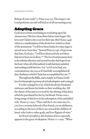Bishop of your souls" (1 Peter 2:24–25). The surgery our Lord performs can and will heal us of all our turning away.

### Adopting Grace

God's love is from everlasting to everlasting upon his chosen ones. His love chose them before time began. His love sent Christ to the cross for their sins. But Hosea 14:4b refers to a manifestation of the divine love which is a fruit of the atonement: "I will love them freely, for mine anger is turned away from him." Samuel Pierce (1746–1829) wrote that here, God says, "I will love them as freely as if there had never been sin in them."<sup>67</sup> The love God promises here is the infinite affection and eternal loyalty that leaps from his heart when all of his judicial wrath has been satisfied and nothing is left but love. It is "as if I never had, nor committed any sin; yea, as if I had fully accomplished all that obedience which Christ has accomplished for me."<sup>68</sup>

Throughout the Bible, and certainly in Hosea, God's love for his people is portrayed as both adoptive and conjugal.

It is the conjugal love by which the divine Husband embraces and kisses his bride on their wedding day. All the shame of her past is covered by the shining white dress which he purchased for her by his blood. Hosea was a living image of this love in his redemption of his unfaithful wife. Hosea 3:1 says, "Then said the LORD unto me, Go yet, love a woman beloved of her friend, yet an adulteress, according to the love of the LORD toward the children of Israel, who look to other gods, and love flagons of wine."

In Hosea's prophecy, this fruition of love especially appears in the grace of adoption. Hosea 11:1 says, "When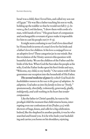Israel was a child, then I loved him, and called my son out of Egypt." He was like a father teaching his son to walk, holding up the toddler so that he would not fall  $(v, \alpha)$ . In verse 4, the Lord declares, "I drew them with cords of a man, with bands of love." His great heart of compassion and unchangeable covenant of grace make it impossible for him to cast his people out (vv 8–9).

It might seem confusing to see God's love described by Hosea both in terms of a man's love for his bride and a father's love for children. Is his love a conjugal love or an adoptive love? These categories jar in our minds. But the revelation of the Trinity answers this question with beautiful clarity. We are the children of the Father and the bride of the Son. When God the Son takes his people as his wife, God the Father looks upon his Son's bride and says, "Welcome, my child, to my family." Our union with Christ guarantees our reception into the household of His Father.

*The second medicine of grace by which God heals the backslidden runners in his race is the grace of adoption. In adoption, God takes us into his family to love us "freely," spontaneously, cheerfully, voluntarily, generously, gladly, indulgently, and with nothing in his heart but tender compassions.* 

Like the father in Christ's parable, he runs to his prodigal child the moment that child returns home, interrupting even our confessions of sin (Psalm 32:5) with showers of hugs, kisses, and calls for a big celebration. Indeed, like the shepherd in another parable, it was he who searched and found you. It is he who heals your backsliding and carries you home on his shoulders, rejoicing.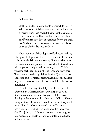#### Sibbes wrote,

Doth not a father and mother love their child freely? What doth the child deserve of the father and mother a great while? Nothing. But the mother hath many a weary night and foul hand with it. Hath God planted an affection in us to love our children freely; and shall not God much more, who gives this love and plants it in us, be admitted to love freely? <sup>69</sup>

The experience of this adoption fills the soul with joy. The Spirit of adoption testifies with our spirits that we are children of God (Romans 8:15–16). God's love becomes real to us, like water poured into a vessel until it overflows with hope, joy, and peace (Romans  $5:5, 15:13$ ). This is what the backslidden child of God longs and prays for: "Restore unto me the joy of thy salvation" (Psalm 51:12). Spurgeon said, "This is conclusive healing of our backsliding, then we receive beauty for ashes, and the oil of joy for mourning."<sup>70</sup>

O backslider, may God fill you with the Spirit of adoption! May he strengthen you with power by his Spirit in your inner man, so that you are filled to overflowing with the knowledge of the love of Christ! Here is a magnet that will draw and hold firm the most wayward heart. "Behold, what manner of love the Father hath bestowed upon us, that we should be called the sons of God!" (1 John 3:1a). Here we have a mystery to engage our meditation, food to strengthen our faith, and fuel to inflame our love.71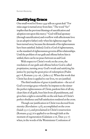### Justifying Grace

One small word in Hosea 14:4c tells us a great deal: "For mine anger is turned away from him." The word "for" implies that the previous blessings of sanctification and adoption rest upon this mercy.<sup>72</sup> God will heal apostasy (through sanctification) and overflow with affectionate love (as an adoptive father) only when his righteous anger has been turned away because the demands of his righteousness have been satisfied. Indeed, God is a God of righteousness, so the standard of righteousness governs all his relationships. Until the problem of our guilt and offense before him is settled, there can be no peace between us and God.

With respect to Christ's work on the cross, the resolution of our guilt and offense before God is called *propitiation*, turning away God's wrath and satisfying his justice by paying the great price of redemption (Psalm 49:7–8, Romans 3:25–26, 1 John 2:2). When this work that Christ has done is applied to our lives, we are justified.

The third medicine of grace is justification—the act of God's sovereign grace whereby he imputes to the sinner the perfect righteousness of Christ, pardons him of all sin, clears him of all guilt, frees him from all punishment, and gives him a right to eternal life on the sole basis of Christ's perfect obedience and full satisfaction rendered at the cross.

Though our justification in Christ was decreed from eternity (Revelation 13:8), accomplished on the cross (Isaiah 53:11), and proclaimed in Christ's resurrection (Romans 4:24), it is applied to us through faith at the moment of regeneration (Galatians 2:16, Titus  $3:5-7$ ) when, in the words of the Westminster Confession of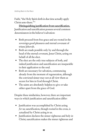Faith, "the Holy Spirit doth in due time actually apply Christ unto them."<sup>73</sup>

**Distinguishing justification from sanctification.** Justification and sanctification possess several common denominators in the believer's salvation:

- Both proceed from free grace and are rooted in the sovereign good pleasures and eternal covenant of triune Jehovah.
- Both are made possible only by and through the head of the eternal covenant, Jesus Christ, acting on behalf of all the elect.
- The elect are the only true subjects of both, and indeed justification and sanctification are inseparable in their application to the soul.
- • Both are necessary for salvation, commencing already from the moment of regeneration, although the convicted sinner may not at all view them as secure for him in God through Christ.
- The saints are absolutely helpless to give or take either apart from the grace of God.

Despite these similarities, however, there are important ways in which justification and sanctification differ:

- Justification was accomplished by Christ acting *for* us; sanctification, though rooted in the cross, is actualized by Christ acting *in* us.
- • Justification declares the sinner righteous and holy *in* Christ; sanctification makes the sinner righteous and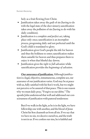holy as a fruit flowing *from* Christ.

- • Justification takes away the *guilt* of sin (having to do with the legal state of the elect sinner); sanctification takes away the *pollution* of sin (having to do with his daily condition).
- • Justification is a *complete and perfect act*, taking place only once; sanctification is an *incomplete process*, progressing daily and not perfected until the God's child is translated to glory.
- • Justification gives God's people the *title* for heaven and thus the boldness to enter; sanctification makes them *suitable* for heaven and thus prepares them to enjoy it when that blissful day dawns.
- • Justification gives the *right to full salvation* while sanctification provides the *beginnings of salvation*.

**Our assurance of justification.** Although justification is a legal, objective, instantaneous, complete act, our *assurance* of our justification varies. God may be at peace with us, fully satisfied with his Son's work, but we might not perceive or be assured of that peace. This is one reason why we must daily pray, "Forgive us our debts." The apostle John understood that well and addressed our consciousness of justification with pastoral tenderness:

But if we walk in the light, as he is in the light, we have fellowship one with another, and the blood of Jesus Christ his Son cleanseth us from all sin. If we say that we have no sin, we deceive ourselves, and the truth is not in us. If we confess our sins, he is faithful and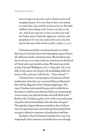just to forgive us our sins, and to cleanse us from all unrighteousness. If we say that we have not sinned, we make him a liar, and his word is not in us. My little children, these things write I unto you, that ye sin not. And if any man sin, we have an advocate with the Father, Jesus Christ the righteous: And he is the propitiation for our sins: and not for ours only, but also for the sins of the whole world. ( $\overline{1}$  John  $\overline{1:7-2:2}$ )

Christians need daily, sometimes hourly, to confess their sins to God and renew their dependence upon Christ's all-sufficient sacrifice and intercession. We should not sin, but we do sin, so we must wash our consciences in the blood of Christ and count ourselves clean. We must trust, in the words of Samuel Waldegrave (1817–1869), that "*the Lord fully, freely, and at once forgives the backsliding child who turns to Him,* and says, with David,—'I have sinned.'"<sup>74</sup>

Christians have varying degrees of assurance of their justification when they are converted. Bunyan illustrated this with his allegories of the Christian pilgrimage. The man, Christian, had entered the gate and travelled down the narrow road for some distance before encountering the cross in such a way that his burden of sin fell off his back.<sup>75</sup> But his wife, Christiana, gains a view of the cross and a sense of pardon almost immediately after she enters the gate.<sup>76</sup> Through these figures Bunyan reminds us that a believer may be regenerated and converted (and thus justified) but not gain a subjective assurance of justification until later.

Similarly, when Christians backslide they may lose temporarily their assurance of justification even though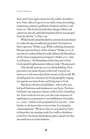those truly born again cannot lose the reality of justification. Peter calls us to grow in our faith, virtue, knowledge, temperance, patience, godliness, kindness, and love, and warns us, "But he that lacketh these things is blind, and cannot see afar off, and hath forgotten that he was purged from his old sins" (2 Peter 1:9).

While David resisted the Spirit's convictions and refused to confess his sins, he suffered a great deal: "thy hand was heavy upon me" (Psalm 32:4). While confessing, he prayed, "Restore unto me the joy of thy salvation" (Psalm 51:12). It was after he confessed that he could celebrate the blessedness of "he whose transgression is forgiven" (Psalm 32:1)—that is, as Paul says, "the blessedness of the man, unto whom God imputeth righteousness without works" (Romans 4:6).

This should motivate us to avoid backsliding. How precious is our sense of peace with God! A good conscience is worth more than all the money in the world. We should guard our conscience by living uprightly, waging war against our inward sins, and living near to God.

But those who have backslidden—this is why you feel such bitterness and deadness in your heart. You have forfeited your assurance of peace with God by cherishing sin. Your works do not save you, but your assurance of justification is connected to your faithfulness. First John 2:2–3 says, "And he is the propitiation for our sins…And hereby we do know that we know him, if we keep his commandments." We *know* that we are joined to Christ in his perfect, sin-atoning work if we walk in obedience to his laws. Persistent disobedience puts a cloud over that sun and leaves us in the shadows.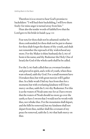Therefore it is so sweet to hear God's promise to backsliders: "I will heal their backsliding, I will love them freely: for mine anger is turned away from him."

Hear also the tender words of faithful love that the Lord gave to his bride in Isaiah  $54:4-10$ :

Fear not; for thou shalt not be ashamed: neither be thou confounded; for thou shalt not be put to shame: for thou shalt forget the shame of thy youth, and shalt not remember the reproach of thy widowhood any more. For thy Maker is thine husband; the LORD of hosts is his name; and thy Redeemer the Holy One of Israel; the God of the whole earth shall he be called.

For the LORD hath called thee as a woman forsaken and grieved in spirit, and a wife of youth, when thou wast refused, saith thy God. For a small moment have I forsaken thee; but with great mercies will I gather thee. In a little wrath I hid my face from thee for a moment; but with everlasting kindness will I have mercy on thee, saith the LORD thy Redeemer. For this is as the waters of Noah unto me: for as I have sworn that the waters of Noah should no more go over the earth; so have I sworn that I would not be wroth with thee, nor rebuke thee. For the mountains shall depart, and the hills be removed; but my kindness shall not depart from thee, neither shall the covenant of my peace be removed, saith the LORD that hath mercy on thee.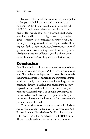Do you wish for a full consciousness of your acquittal so that you can boldly say with full assurance, "I am righteous in Christ, before God, and an heir of eternal life"?<sup>77</sup> Though you may have become like a woman divorced for her adultery, lonely and sad and ashamed, your Husband has the needed grace—in fact, abundant grace—to forgive you completely. Return to your God through repenting, using the means of grace, and reaffirming your faith. Use the medicines Christ provides. He will gather you into his everlasting arms. He will wrap you in his righteousness. He will assure you that his covenant cannot be removed. God delights to comfort his people.

### Conclusion

Our Physician has such an abundance of potent medicines to heal his wounded people. In Christ, they are reconciled with God and filled with peace that passes all understanding! Pardon decreed from eternity and purchased in time yields peace and joyful communion. The filthy garments are stripped away. "Behold, I have caused thine iniquity to pass from thee, and I will clothe thee with change of raiment" (Zechariah 3:4). God's people are wrapped in the blessed robe of Christ's perfect, spotless, holy righteousness. Liberty and boldness in the faith becomes their portion; they are free indeed.

They have freedom to leap up and walk with the lame man, praising God in the temple. They confess with Paul, "I know in whom I have believed" (2 Timothy 1:12), and with Job, "I know that my redeemer liveth" (Job 19:25). They can apply to themselves what Christ promises in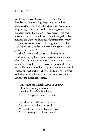Isaiah 61:3 and say, "I have received beauty for ashes, the oil of joy for mourning, the garment of praise for heaviness, that I might be called a tree of righteousness, the planting of the Lord, that he might be glorified." In this act of reconciliation, Christ becomes everything. He is to the reconciled truly the Alpha and Omega (Revelation 1:8), the author and finisher of their faith (Hebrews 12:2), the horn of salvation (Luke 1:69), the Lord of lords (Revelation 17:14), and the Redeemer and Savior (Isaiah 59:20, 1 Timothy 4:10).

Should we not seek such great blessings from the Lord with longing, hunger, and expectant waiting? And when Christ gives us justification, adoption, and sanctification, let us thank him and cherish his grace with all our hearts. We should be zealous to guard the great treasure of grace as our best portion in this life and our only comfort. And when we stumble and backslide, let us go to him again for the medicines of grace.

Conscience, the Church, the world upbraid: Oh, tell me that my sins were laid On Him who suffered on the tree, And that He groaned and bled for me.

Lord, heal me, and I shall be healed; Let pardon to my heart be sealed; My wandering, wounded soul restore, And let me stray from thee no more.<sup>78</sup>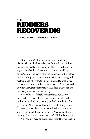## Four Runners Recovering

The Healing of Grace (Hosea 14:5-9)

When Laura Wilkinson stood atop the diving platform in the final round of her Olympic competition in 2000, she had two strikes against her. First, she was in eighth place behind divers who had performed impeccably. Second, she had broken her foot six months before the Olympic games, severely hindering her training and performance. She was still in pain and had to wear a protective shoe just to climb the diving tower. As she looked down at the water ten meters (32 1/2 feet) below her, she had every reason to be discouraged.

Nevertheless, she said something to herself and did her dive. In fact, she did her dive *excellently*, and Wilkinson walked away from that final round with the gold medal. When asked how it felt to take the gold after facing such obstacles, she replied with the same words she says to herself before every dive, "I can do all things through Christ who strengthens me" (Philippians 4:13).

Christian, it may be that your spiritual life has taken a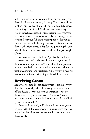fall. Like a runner who has stumbled, you can hardly see the finish line—it looks very far away. Your sin may have broken your heart, dishonored your Lord, and damaged your ability to walk with God. You may have every reason to feel discouraged. But Christ can heal your soul and bring you to the victor's crown. By his grace, you can recover from your fall. It is not only possible for you to survive, but under the healing touch of the Savior you can thrive. When it comes to living for and glorifying the one who died and rose for you, you can do all things through Christ.

We have listened to the Holy Spirit call us, in Hosea 14, to return to the Lord through repentance, the use of the means, and dependence. We have heard him promise his elect people that he has abundant grace for their sanctification, adoption, and justification. Now we will hear his glorious promises to bring his people to full recovery.

## Reviving Grace

Israel was not a land of abundant water. It could be a very dry place, especially when the searing hot wind came in off the desert. Lebanon, however, was an exception to the rule. As Douglas Stuart writes, "Lebanon's slopes, moistened almost continually by dew, were places of lush growth year round."<sup>79</sup>

So water in general, and Lebanon in particular, often appears in the Bible as an image of spiritual blessing. This is precisely how Hosea's readers would have interpreted these words: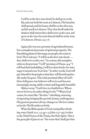I will be as the dew unto Israel: he shall grow as the lily, and cast forth his roots as Lebanon. His branches shall spread, and his beauty shall be as the olive tree, and his smell as Lebanon. They that dwell under his shadow shall return; they shall revive as the corn, and grow as the vine: the scent thereof shall be as the wine of Lebanon. (Hosea 14:5–7)

Again, this was not a promise of agricultural bounty, but a metaphorical promise of spiritual prosperity. The flourishing plants in this image are people, the water is God. The Lord says, "I will be as the dew unto Israel. . . . they shall revive as the corn." In context, this metaphor refers to the previous "I will" promises of Hosea 14:4: "I will heal their backsliding, I will love them freely: for mine anger is turned away from him." In other words, God will give himself to his people so that they will flourish spiritually under his grace. This is the promised effect of God's three-fold grace: true believers will revive and become increasingly strong, stably rooted, and fragrantly beautiful.

Sibbes wrote, "God's love is a fruitful love. Wheresoever he loves, he makes things lovely."<sup>80</sup> When God comes, he comes like "the dew," refreshing, renewing, invigorating, bringing life, growth, beauty, and fragrance. His gracious presence always changes us. His love makes us lovely. His life makes us lively.

When the Bible speaks of God coming like refreshing water (Isaiah 32:2, 15; 44:1–5; John 7:37–39), it refers to the Third Person of the Trinity, the Holy Spirit. This is the great gift of Jesus to us: "the water that I shall give him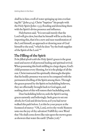shall be in him a well of water springing up into everlasting life" (John 4:14). Christ "baptizes" his people with the Holy Spirit (John 1:33), flooding and drenching them with the Spirit's divine presence and influence.

Halyburton said, "It is not said merely that the Lord will give dew, but that he himself will be as the dew, importing this, that it be a new and near manifestation of the Lord himself, an approach or drawing near of God himself to the soul," which he does "by the fresh supplies of the Spirit of the Lord."<sup>81</sup>

### **The Filling of the Spirit**

*To be filled afresh with the Holy Spirit's graces* is the great need and secret of all personal healing and spiritual revival. When possessing this fresh infilling in a large degree, God's child possesses every blessing, for it is the pledge of all the rest. Christ instructed his spiritually distraught disciples that his bodily presence was not to be compared with the permanent dwelling of the Spirit among them. Through the graces poured by the Spirit on backsliding believers, they are effectually brought back to God again, and nothing short of this will restore their backsliding souls.

Dear backsliding believer, seek the Spirit's saving graces earnestly and believingly. Seek grace to set out afresh, for God and divine favor, as if you had never walked this path before.Let this be your prayer at the footstool of mercy: "Oh, Lord, revive thy work! Restore unto me the joy of thy salvation! Fulfill thy own Word that 'He shall come down like rain upon the mown grass: as showers that water the earth' (Psalm 72:6)."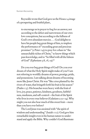Reynolds wrote that God gave us the Hosea 14 image of a prospering and fruitful plant ,

to encourage us in prayer to beg for an answer, not according to the defect and narrowness of our own low conceptions, but according to the fullness of God's own abundant mercies. . . . God delights to have his people beg great things of him, to implore the performance of "exceeding great and precious promises" (2 Peter 1:4); to pray for a share in "the unsearchable riches of Christ," to know things which pass knowledge, and to "be filled with all the fulness of God" (Ephesians 3:8, 18, 19).<sup>82</sup>

Do you ever beg great things of God? Do you ever dream of what the Holy Spirit might make of you? I am not referring to worldly dreams of power, prestige, pride, and possessions. I am talking about dreams of becoming more like Jesus Christ. He was "like a tree planted by the rivers of water, that bringeth forth his fruit in his season" (Psalm 1:3). His branches were heavy with the fruit of love, joy, peace, patience, kindness, goodness, faithfulness, meekness, and self-control—the fruit of the Spirit who lives in every true believer (Galatians 5:22–24). Why might you not also bear much of this sweet fruit—more than you have ever before?

The Lord Jesus was anointed with "the spirit of wisdom and understanding" (Isaiah 11:2). God gave him remarkable insight even in his human nature to understand and apply the Bible. Why couldn't God illuminate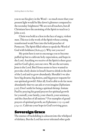you to see his glory in the Word—so much more that your present light would be like dawn's glimmer compared to the noonday brightness? We are not all teachers, but all Christians have the anointing of the Spirit to teach us (1 John 2:20).

Christ was bold as a lion in the face of angry, violent men. This too is the work of the Spirit whose coming transformed weak Peter into the bold preacher of Pentecost. The Spirit filled others to speak the Word of God with boldness (Acts 4:31). Why not you too?

My point here is not to encourage you to become puffed up but to cultivate holy expectation, and hope in the Lord. Anything we receive of the Spirit is sheer grace and for God's glory, not our own. We are the servants; Jesus is the Lord. But Hosea seems to have wanted to provoke a holy desire in Israel's heart to drink in the dew of the Lord and to grow abundantly. Shouldn't we also have big dreams, big desires, and big prayer requests for our spiritual growth? After all, God is able to do far more abundantly that we can ask or even imagine (Ephesians 3:20). Don't settle for being a spiritual shrimp. Imitate Paul by praying his grand prayers for spiritual growth for yourself, your family, your church, your seminary, and the churches of all nations.<sup>83</sup> For examples of grand prayers of spiritual growth, see Ephesians 1:15–23 and 3:14–21. Cultivate your hope in God's reviving grace.

### Sovereign Grace

The essence of backsliding is a descent into the whirlpool of idolatry. But the Lord has never tolerated other gods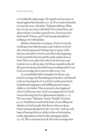or worship through images. He regards such practices as hatred against him (Exodus 20:1–6). If we want to flourish, we must do away with idols: "Ephraim shall say, What have I to do any more with idols? I have heard him, and observed him: I am like a green fir tree. From me is thy fruit found" (Hosea 14:8). God's people should have nothing to do with idolatry.

Idolatry denies the sovereignty of God. It cuts the world apart into little domains, each with its own lord who must be appeased. Perhaps it gives a piece of the heavens and earth to God to rule. But in the beginning God *created* the heavens and the earth, and he alone is God. There is no other. He is the God who hears and watches over us all our days. So Hosea reminds us that all this grace he has just described means nothing until we see God as sovereign, the Lord over all in every way.

In a remarkable shift in metaphor in Hosea 14:8, Israel is no longer the flourishing tree but the Lord himself is the tree bearing fruit. It is as if the Lord became Israel, God himself stepping in and fulfilling Israel's responsibility to be fruitful. *That is precisely what happened when God became man.* Israel was supposed to be God's vineyard bearing fruit for righteousness (Isaiah 5:1–7). The very name "Ephraim" means "fruitful" (Genesis 41:52). Fruitfulness stands at the heart of our calling and identity as God's people. But then we discover Jesus Christ announcing that he is the "true vine" and our only hope of bearing fruit is to abide in him as his branches, totally dependent on him for life and support (John 15:1–8). The Lord must do it all. He is the sovereign dew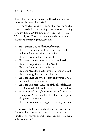that makes the vine to flourish, and he is the sovereign vine that fills the earth with fruit.

If the heart of backsliding is idolatry, then the heart of returning to the Lord is realizing that Christ is everything for our salvation. Ralph Robinson (1614–1655) wrote, "The Lord Jesus Christ is all things in and to all persons that have a true saving interest in him."<sup>84</sup>

- He is perfect God and he is perfect man.
- He is the Son, and as such, he is our access to the Father and our reception of the Spirit.
- • He is the Priest and he is the sacrifice.
- He became our curse and now he is our blessing.
- He is the Prophet and he is the Word.
- He is the King and he is the Servant.
- He is the Mediator and the essence of the covenant.
- He is the Way, the Truth, and the Life.
- He is the Husband who protects and provides and he is the Bread we eat to live.
- • He is the Shepherd, the Door of the sheepfold, and the One who laid down his life as the Lamb of God.
- • He is our wisdom, righteousness, sanctification, and redemption. We trust in him, love him, and hope in his glorious appearance.
- He is our treasure, exceeding joy, and very great reward.

Christ is all. If you would make any progress in the Christian life, you must embrace him as the sum and substance of your salvation. He says to us still, "From me is thy fruit found."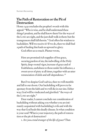### **The Path of Restoration or the Pit of Destruction**

Hosea 14:9 concludes the prophet's words with this appeal: "Who is wise, and he shall understand these things? prudent, and he shall know them? for the ways of the LORD are right, and the just shall walk in them: but the transgressors shall fall therein." God offers his wisdom to backsliders. Will we receive it? If we do, then we shall find a path of healing that leads us upward to glory.

God offers us so much. Plumer wrote,

Here are promised rich supplies of free grace, securing pardon of sin, the indwelling of the Holy Spirit, deep-rooted vigor, increase of grace and of fruitfulness, usefulness to those under his influence, a sweet savor of piety at all times, together with an utter renunciation of idols and self-dependence. <sup>85</sup>

But if we despise God's advice, then we will stumble and fall to our doom. Our backsliding will prove to be apostasy from the faith and we will die in our sins. Either way, God will be vindicated and glorified: "the ways of the LORD are right."

Dear reader, I cannot conclude our consideration of backsliding without asking you whether you are intimately acquainted with backsliding's evils and with the way that God heals this deadly disease. In what condition is your soul? What is your trajectory, the path of restoration or the pit of destruction?

1. *Are you a total stranger of the life of grace?* Then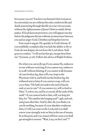how poor you are! You have not learned what it means to be converted; you are without the only comfort in life and death, journeying through this life on your own account, without the righteousness of Jesus Christ to satisfy divine justice. If God does not prevent it, you will appear one day before his judgment throne without an intercessor between you and an angry God, Christless and hopeless forever.

Your need is urgent. Fly quickly to God's throne. If you truthfully complain that you lack the ability to fly to God, do not despair; do not leave the Lord alone. Seek grace to confess, "I will not let thee go, except thou bless me" (Genesis 32:26). Follow the advice of Ralph Erskine:

Do what you can to *fly* up; if you cannot fly, endeavor to *run* without wearying; if you cannot run, endeavor to *walk* without fainting; if you cannot walk because of your broken leg, then will you *creep* to the Physician with it, and hold out the broken leg, the withered arm to him; if you cannot creep, will you *cry* to him; "He hath not said to the seed of Jacob, seek ye me in vain": if you cannot cry, will ye *look* to Him; "Look to me, and be ye saved, all the ends of the earth": if you cannot look to him, will you *long* for him, for "He satisfies the longing soul": *sigh*, and *sob*, and *groan* after him. And if, after all, you think you can do nothing, because of your absolute weakness; then, O will you *wait* on the Lord, and you shall renew your strength; wait on him in the use of means; lie at the pool, and you cannot tell how soon you shall get strength to mount: "Wait, I say, on the Lord."86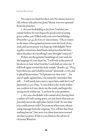No case is too hard for the Lord. No sinner, however vile, whose only plea was Jesus' blood, was ever spurned from his presence.

2. *Are you backsliding so far from God that you cannot believe he ever began the good work of saving grace within you?* Filled with your own backslidings (Proverbs 14:14), do you cry out at times, "Oh, to return to the times when gospel sermons were the food of my soul, and secret prayer was kept up with delight! Now a guilty conscience, hard heart, and prayerless life have taken the place of everything I once thought I enjoyed."

If these are the genuine breathings of your soul, let the language of your heart be, "I will wait at the posts of his doors to hear what God the Lord shall say unto me. 'I will look again toward thy holy temple' (Jonah 2:4)." Pray, "turn thou me, and I shall be turned" (Jeremiah 13:18), and to plead his promises: "Is Ephraim my dear son? . . . for since I spake against him, I do earnestly remember him still . . . I will surely have mercy upon him, saith the Lord" (Jeremiah 31:20). Pray, "Lord, if this is thy work within me, confirm it; if not, show me the truth, and begin thy saving work within me." Let these be your petitions.

3. *Are you a backslider who cannot deny having been a subject of God's saving grace, yet you know that you are presently not in the right place before God?* At one time you could answer with Chrysostom when sent a threatening message from the empress, "Go, tell her that I fear nothing but sin"; but now you often lean more toward sin than on grace. If this is you, listen to the advice of Octavius Winslow: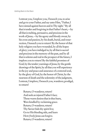I entreat you, I implore you, I beseech you, to arise and go to your Father, and say unto Him, "Father, I have sinned against heaven and in Thy sight." By all that is tender and forgiving in that Father's heart,—by all that is melting, persuasive, and precious in the work of Jesus,—by his agony and bloody sweat, by his cross and passion, by his death, burial, and resurrection, I beseech you to return! By the honor of that holy religion you have wounded, by all the hopes of glory you have indulged in, by all that is sacred and precious in the memory of the past, and by all that is solemn and real in the prospect of the future, I implore you to return! By the faithful promises of God, by the tender yearnings of Jesus, by the gentle drawings of the Spirit, by all that you will experience in the joy and peace and assurance of a restored soul, by the glory of God, by the honor of Christ, by the nearness of death and the solemnity of the judgment, I entreat, I implore, I beseech you, wanderer, prodigal, to return!

Return, O wanderer, return! And seek an injured Father's face; Those warm desires that in thee burn, Were kindled by reclaiming grace. Return, O wanderer, return! Thy Savior bids thy spirit live; Go to His bleeding side, and learn How *freely* Jesus can forgive. Return, O wanderer, return!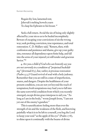Regain thy lost, lamented rest; Jehovah's melting bowels yearn To clasp his Ephraim to his breast. <sup>87</sup>

Seek a full return. Avoid the sin of being only slightly affected by your sin so as to be healed incompletely. Beware of escaping your convictions of sin the wrong way; seek probing conviction, true repentance, and total restoration. C. D. Mallary said, "Return, then, with confession and penitence and shame, give up your guilty sins, renounce all dependence upon finite help, and fall into the arms of your injured yet still tender and gracious Savior."88

4. *Are you a child of God who can honestly say you are not currently in a condition of "perpetual backsliding" (Jeremiah 8:5), but, rather, in precious restoration (Psalm 23:3)?* Guard revival of soul with a holy jealousy. Remember that you are still in a state of imperfection, snares, and dangers. Despite the healthiness of your present condition, you are not yet beyond the reach of temptation; fresh temptations may lead you to fall into the same sorrowful condition from which you recently emerged, except divine grace interpose to aid you. "As long as I am in the body," wrote Joseph Irons, "I am not yet out of the enemy's gunshot."

This is sanctification: feeling more than ever the strength of sin and the weakness of the flesh, and knowing painfully what it is to be left to yourself, you beg the Lord to keep your soul "as the apple of the eye" (Psalm 17:8), to shine upon it continually with the beams of divine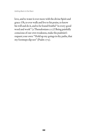*Getting Back in the Race*

love, and to water it ever more with the divine Spirit and grace. Oh, to ever walk and live to his praise, to know his will and do it, and to be found fruitful "in every good word and work" (2 Thessalonians 2:17)! Being painfully conscious of our own weakness, make the psalmist's request your own: "Hold up my goings in thy paths, that my footsteps slip not" (Psalm 17:5).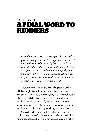# Conclusion A FinalWord to **RUNNERS**

*Wherefore seeing we also are compassed about with so great a cloud of witnesses, let us lay aside every weight, and the sin which doth so easily beset us, and let us run with patience the race that is set before us, looking unto Jesus the author and finisher of our faith; who for the joy that was set before him endured the cross, despising the shame, and is set down at the right hand of the throne of God. (Hebrews 12:1–2)*

There is no more noble and rewarding race than that of following Christ. Christian runner, there is no place for self-pity or laziness here. There is glory to be won! Christ has blazed the trail ahead of us; indeed Christ himself is our trail, our living way into God's holy presence. He has overcome, so we too can overcome by his blood. Do not love your life in this world, so that you may gain his glory in the next.

Consider what Christ suffered. He faced the "contradiction of sinners" (Hebrews 12:3). Men argued with him. They accused him of crimes he did not commit. His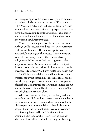own disciples opposed his intentions of going to the cross and grieved him by playing ecclesiastical "King of the Hill." Many of his disciples walked away from him when he refused to conform to their worldly expectations. Even those that stayed could not stand with him in his darkest hour. One of his best friends pretended he did not even know him. But Christ persevered.

Christ faced nothing less than the cross and its shame. He let go of all desires for worldly success. He was stripped of all his earthly honor, all his human dignity, even the most basic human rights. They treated Christ worse than we would treat a dog. They beat his body to a bloody pulp, then nailed his tender flesh to a rough cross to hang in agony for hours. Darkness came upon him—not just darkness in the skies but darkness in the soul—such that he cried out, "My God, my God, why hast thou forsaken me?"

But Christ despised the pain and humiliation of the cross for the joy set before him. He counted these agonies a small thing compared to the infinite, eternal happiness of glorifying God through the salvation of sinners. He did not run the race for himself but for us, dear believers! He was bringing many sons to glory.

When we contemplate his agonies of body and soul, we see how very little it takes to make us stumble and turn away from obedience. How often have we sinned for the slightest pleasure, or to avoid the smallest disdain from people? But in the very contrast between our weakness and his strength we find hope. Here is the spiritual champion who can share his victory with us. Runner, when your legs feel like lead and your lungs are burning,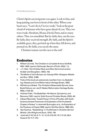Christ's Spirit can invigorate you again. Look to him, and keep putting one foot in front of the other. When your heart says, "I can't do it; I'm too weak," look at the great cloud of witnesses who have gone ahead of you. They too were weak: Abraham, Moses, David, Peter, and so many others. They too stumbled. But by faith, they ran the race. By faith, they received strength. By faith, and the Spirit's available grace, they got back up when they fell down, and pressed on. By faith, you can do the same.

Christian runner, run the race to the end!

### Endnotes

- 1. William Gurnall, *The Christian in Complete Armour* (Suffolk, 1662–1665; reprint, Edinburgh: Banner of Truth, 2002), 1:2.
- 2. J. C. Ryle, *The Christian Race and Other Sermons* (London: Hodder and Stoughton, 1900), 156.
- 3. *The Works of John Bunyan*, ed. George Offor (Glasgow: Blackie and Son, 1854), 3:388.
- 4. Parts of this book are extensively rewritten from my *Backsliding: Disease and Cure* (Reformation Heritage Books, 1982).
- 5. Wilhelmus à Brakel, *The Christian's Reasonable Service*, trans. Bartel Elshout, ed. Joel R. Beeke (Reformation Heritage Books, 1995), 4:159–60.
- 6. Andrew Fuller, *The Backslider: His Nature, Symptoms, and Recovery* (1801; reprint, Solid Ground Christian Books, 2005), 48.
- 7. Edward Reynolds, "Israel's Prayer in Time of Trouble, with God's Gracious Answer Thereunto: An Explication of the Fourteenth Chapter of Hosea," in Jeremiah Burroughs, et al., *An Exposition of the Prophecy of Hosea* (1865; reprint, Soli Deo Gloria, 1989), 653.
- 8. See Quartus, "Backsliding," in *Fruitfulness in Christian Service*  (Bristol: John Wright and Sons, 1916), 146.
- 9. Jeremiah 2:19; 3:6, 8, 11, 12, 14, 22; 5:6; 8:5; 14:7; 31:22; 49:4; Hosea 4:16; 11:7; 14:4.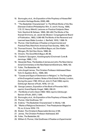- 10. Burroughs, et al., *An Exposition of the Prophecy of Hosea* (Reformation Heritage Books, 2006), 488.
- 11. "The Backslider Characterized," in *The Whole Works of the Rev. Ebenezer Erskine* (Philadelphia: Wm. S. and A. Young, 1836), 1:70. Cf. Henry Melvill, Lectures on Practical Subjects (New York: Stanford & Delisser, 1858), 382–402; The Works of Nathanael Emmons, ed. Jacob Ide (Boston: Congregational Board of Publication, 1862), 5:360–89; The Works of the Reverend and Learned Isaac Watts (London: J. Barfield, 1810), 1:568–74.
- 12. Plumer, *Vital Godliness: A Treatise on Experimental and Practical Piety* (New York: American Tract Society, 1864), 152.
- 13. Thomas Vincent, *The Good Work Begun*, ed. Don Kistler (Morgan, PA: Soli Deo Gloria, 1998), 84.
- 14. Vincent, *The Good Work Begun*, 85–86.
- 15. Charles H. Spurgeon, *Autobiography* (Cincinnati: Curts & Jennings, 1898), 1:112.
- 16. Alexander Ross, *The Epistles of James and John, The New International Commentary on the New Testament* (Eerdmans, 1954), 102.
- 17. Fuller, *The Backslider*, 49.
- 18. John Angell James, *The Christian Professor Addressed* (New York: D. Appleton & Co., 1838), 300.
- 19. "Causes and Signs of Declension in Religion," in *The Thoughts of the Evangelical Leaders: Notes of the Eclectic Society, London, During the years 1798–1814*, ed. John H. Pratt (1856; reprint, Edinburgh: Banner of Truth, 1978), 121–22.
- 20. George Lawson, *Exposition of the Book of Proverbs* (1821; reprint, Grand Rapids: Kregel, 1980), 290–91.
- 21. *The Works of John Owen* (1850–1853; reprint, Edinburgh: Banner of Truth, 2001), 7:264.
- 22. Burroughs, et al., *An Exposition of the Prophecy of Hosea*, 348.
- 23. Plumer, *Vital Godliness*, 157.
- 24. Erskine, "The Backslider Characterized," in *Works*, 1:68.
- 25. "Marks of Religions Declension," *Free Presbyterian Magazine*  79, no. 6 (June 1974): 175.
- 26. Brakel, *The Christian's Reasonable Service*, 4:165.
- 27. James, *The Christian Professor Addressed*, 307.
- 28. Fuller, *The Backslider*, 82.
- 29. William S. Plumer, *Vital Godliness: A Treatise on Experimental*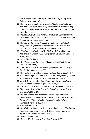*and Practical Piety* (1864; reprint, Harrisonburg, VA: Sprinkle Publications, 1993), 148.

- 30. The root idea of the Hebrew word for "backsliding" is turning. The backslider has turned away, or turned back from following God. So in repentance, he turns once more, turning back in the right direction.
- 31. Douglas Stuart, Hosea–Jonah, *Word Biblical Commentary* 31 (Nashville: Thomas Nelson Publishers, 1987), 213. See especially Deuteronomy chapters 4 and 30.
- 32. Thomas McComiskey, "Hosea," in *The Minor Prophets: An Exegetical & Expository Commentary*, ed. Thomas Edward McComiskey (Grand Rapids: Baker, 1992), 1:229.
- 33. "The Returning Backslider," in *Works of Richard Sibbes*, ed. Alexander B. Grosart (1862–1864; reprint, Edinburgh: Banner of Truth, 2001), 2:253.
- 34. Fuller, *The Backslider*, 92.
- 35. The Westminster Confession (Glasgow: Free Presbyterian Publications, 1994), 311.
- 36. J. G. Pike, *A Guide for Young Disciples* (1831; reprint, Morgan, Pa.: Soli Deo Gloria, 1996), 309.
- 37. The Psalter (reprint, Reformation Heritage Books, 2003), #210.
- 38. Obadiah Sedgwick, *Christ's Counsel to His Languishing Church*, ed. Don Kistler (Morgan, PA: Soli Deo Gloria, 1996), 9.
- 39. Joel R. Beeke, ed., *Doctrinal Standards, Liturgy, and Church Order* (Reformation Heritage Books, 2003), 68.
- 40. F. B. Meyer, *The Christ-Life for Your Life* (Moody Press, n.d.), 19.
- 41. *The Whole Works of the Rev. John Flavel* (London: W. Baynes and Son, 1820), 5:423.
- 42. Thomas Hooker, *The Application of Redemption By the Effectual Work of the Word, and Spirit of Christ, for the Bringing Home of Lost Sinners to God. The Ninth and Tenth Books*  (London: Peter Cole, 1657), 210.
- 43. Owen, Works, 7:270.
- 44. For a fuller explanation of the art of meditation, see "The Puritan Practice of Meditation," in Joel R. Beeke, *Puritan Reformed Spirituality* (Evangelical Press, 2006), 73–100.
- 45. Sibbes, *Works*, 2:260.
- 46. Gurnall, *The Christian in Complete Armour*, 2:88.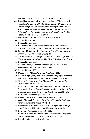- 47. Gurnall, *The Christian in Complete Armour*, 2:420–21.
- 48. For additional material on prayer, see James W. Beeke and Joel R. Beeke, *Developing a Healthy Prayer Life: 31 Meditations on Communing with God* (Reformation Heritage Books, 2010); Joel R. Beeke and Brian G. Najapfour, eds., *Taking Hold of God: Reformed and Puritan Perspectives on Prayer* (Grand Rapids: Reformation Heritage Books, 2011).
- 49. Lodenstein, *A Spiritual Appeal to Christ's Bride*, 87.
- 50. Sibbes, *Works*, 2:278.
- 51. Sibbes, *Works*, 2:286.
- 52. See Matthew 6:24 and Ephesians 5:5 on materialism; see Romans 1:21–26 and 1 Thessalonians 4:5 on sexual immorality.
- 53. Raymond C. Ortlund, Jr., *Whoredom: God's Unfaithful Wife in Biblical Theology* (Eerdmans, 1996), 49.
- 54. "Mr. Bunyan's Dying Sayings," in Robert Philip, *The Life, Times, and Characteristics of John Bunyan* (New York: D. Appleton, 1839), 476.
- 55. Sibbes, *Works*, 2:295.
- 56. Charles Wesley, "Weary of Wandering from My God," *The Methodist Hymn Book with Tunes* (1904).
- 57. Sibbes, *Works*, 2:299.
- 58. McComiskey, "Hosea," in *Minor Prophets*, 1:232.
- 59. Charles H. Spurgeon, "Backsliding Healed," in *Spurgeon's Expository Encyclopedia* (reprint, Grand Rapids: Baker, 1996), 1:380.
- 60. *The Whole Works of the Rev. Mr. John Flavel* (London: W. Baynes and Son, 1820), 5:423.
- 61. Thomas Halyburton, "Divine Influences: or, The Case and Cure of Those under Spiritual Decays," *Halyburton's Works, Volume 1, Faith and Justification* (Aberdeen: James Begg Society, 2000), 1:319.
- 62. Spurgeon, "Backsliding Healed," 1:382.
- 63. Brakel, *The Christian's Reasonable Service*, 4:162–63.
- 64. Walter Marshall, *The Gospel-Mystery of Sanctification* (New York: Southwick and Pelsun, 1811), 52.
- 65. Isaac Watts, "Am I a Soldier of the Cross?" cyberhymnal.org/ htm/a/m/amiasold.htm (accessed September 16, 2011).
- 66. Spurgeon, "Backsliding Healed," 1:388.
- 67. Samuel E. Pierce, *An Exposition on the Fourteenth Chapter of the Prophet Hosea* (London: by L. Nichols, 1822), 72.
- 68. Heidelberg Catechism, Question 60.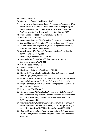- 69. Sibbes, *Works*, 2:317.
- 70. Spurgeon, "Backsliding Healed," 1:387.
- 71. For more on adoption, see Robert A. Peterson, *Adopted by God: From Wayward Sinners to Cherished Children* (Philipsburg, N.J.: P&R Publishing, 2001); Joel R. Beeke, *Heirs with Christ: The Puritans on Adoption* (Reformation Heritage Books, 2008).
- 72. McComiskey, "Hosea," in *Minor Prophets*, 1:232.
- 73. Westminster Confession, 11.4.
- 74. Samuel Waldegrave, "The Backslider Forgiven and Chastised," in *Words of Eternal Life* (London: William Hunt and Co., 1864), 278.
- 75. John Bunyan, *The Pilgrim's Progress* (1678; facsimile reprint, London: Elliot Stock, 1895), 35–36.
- 76. John Bunyan, *The Pilgrim's Progress . . . in Two Parts* (London: for W. Johnston, 1757), 2:24.
- 77. Heidelberg Catechism, Question 59.
- 78. Joseph Irons, *Grove Chapel Pulpit, Volume 3* (London: Benjamin L. Green, 1851), 204.
- 79. Stuart, *Hosea-Jonah*, 215.
- 80. Sibbes, *Works*, 2:330.
- 81. Halyburton, *Faith and Justification*, 321–22.
- 82. Reynolds, "An Explication of the Fourteenth Chapter of Hosea," in Burroughs, et al., *Hosea*, 658.
- 83. A helpful resource here is D. A. Carson, *A Call to Spiritual Reformation: Priorities from Paul and His Prayers* ( Baker, 1992).
- 84. Ralph Robinson, *Christ All and In All* (1868; reprint, Ligonier, Pa.: Soli Deo Gloria, 1992), 2.
- 85. Plumer, *Vital Godliness*, 171.
- 86. *The Sermons and Other Practical Works of the Late Reverend and Learned Mr. Ralph Erskine* (Falkirk, Scotland: by Patrick Mair, for John Stewart, Hugh Mitchell, and Peter Muirhead, 1796), 6:221, emphasis added.
- 87. Octavius Winslow, *Personal Declension and Revival of Religion in the Soul* (New York: Robert Carter, 1847), 233–34. He quotes a hymn titled, "The Backslider," by William Bengo Collyer (1782–1854).
- 88. Charles D. Mallary, *Soul Prosperity: Its Nature, Its Fruits, and Its Culture* (1860; reprint, Harrisonburgy, Va.: Sprinkle Publications, 1999), 348.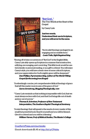

# ["But God..."](http://CruciformPress.com/our-books/but-god)

The Two Words at the Heart of the Gospel

by Casey Lute

**Just two words. Understand their use in Scripture, and you will never be the same.** 

"Rock-solid theology packaged in an engaging and accessible form." – *Louis Tullo, Sight Regained blog*

"Keying off of nine occurrences of "But God" in the English Bible, Casey Lute ably opens up Scripture in a manner that is instructive, edifying, encouraging, and convicting. This little book would be useful in family or personal reading, or as a gift to a friend. You will enjoy Casey's style, you will have a fresh view of some critical Scripture, and your appreciation for God's mighty grace will be deepened."

*Dan Phillips, Pyromaniacs blog, author of The World-Tilting Gospel (forthcoming from Kregel)* 

"A refreshingly concise, yet comprehensive biblical theology of grace that left this reader more in awe of the grace of God. "

*Aaron Armstrong, BloggingTheologically. com*

""Casey Lute reminds us that nothing is impossible with God, that we must always reckon with God, and that God brings life out of death and joy out of sorrow. "

### *Thomas R. Schreiner, Professor of New Testament Interpretation, The Southern Baptist Theological Seminary*

"A mini-theology that will speak to the needs of every reader of this small but powerful book. Read it yourself and you will be blessed. Give it to a friend and you will be a blessing."

*William Varner, Prof. of Biblical Studies, The Master's College*

[CruciformPress.com/our-books](http://CruciformPress.com/our-books)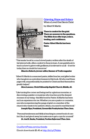

# Grieving, Hope and Solace

When a Loved One Dies in Christ

by Albert N. Martin

**There is comfort for the grief. There are answers to the questions. The Bible does offer hope, solace, healing, and confidence.**

**Pastor Albert Martin has been there.** 

"This tender book by a much-loved pastor, written after the death of his beloved wife, offers comfort to those in tears. A rare guidebook to teach us how to grieve with godliness, it is relevant to us all — if not for today, then no doubt for tomorrow."

### *Maurice Roberts, former editor,* **Banner of Truth** *magazine*

"Albert N. Martin is a seasoned pastor, skilled teacher, and gifted writer who has given us a priceless treasure in this book. All who read these pages will, unquestionably, be pointed to Christ and find themselves greatly helped."

### *Steve Lawson, Christ Fellowship Baptist Church, Mobile, AL*

"Like turning the corner and being met by a glorious moonrise, or discovering a painter or musician who touches us in the deepest recesses of our being—this little book by Pastor Al Martin has been such an experience for me. Whether you are a pastor or counselor, one who is experiencing the pangs of grief, or a member of the church who wants to be useful to others, you need to read this book."

**Joseph Pipa, President, Greenville Presbyterian Theo. Sem.**

 "Personal tenderness and biblical teaching in a sweet book of comfort. Buy it and give it away, but make sure to get a copy for yourself."

*Dr. Joel R. Beeke, President, Puritan Reformed Theo. Sem.*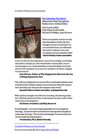# CruciformPress.com/our-books



# [Reclaiming Adoption](http://CruciformPress.com/our-books/reclaiming-adoption)

Missional Living Through the Rediscovery of Abba Father

Dan Cruver, Editor John Piper, Scotty Smith Richard D. Phillips, Jason Kovacs

 "There is no greater need in our day than theological clarity. Dan has brought us near to God's heart. As you read this book, you will sense the need to embrace your own acceptance as God's adopted child."  *–Darrin Patrick, Pastor and author*

"I can't recall ever hearing about, much less reading, a book like this before. Simply put, this remarkable volume fills a muchneeded gap in our understanding of what the Bible says both about God's adoption of us and our adoption of others. I highly recommend it."

### *Sam Storms, Author of* **The Singing God: Discover the Joy of Being Enjoyed by God**

"The authors writing here are some of the most fearless thinkers and activists in the Christian orphan care movement. Read. Be empowered. And then join Jesus for the orphans of the world."

*Russell D. Moore, Pastor and author of* **Adopted for Life**

"With spiritual insight and effective teaching, *Reclaiming Adoption* will help believers better understand our place with Christ and work in his kingdom."

# *Ed Stetzer, President, LifeWay Research*

"Something like…a revival, is happening right now in evangelical theology….it may have the momentum to reinvigorate evangelical systematic theology….The most promising sign I've seen so far is the new book *Reclaiming Adoption*. "

*Fred Sanders, Ph.D., Biola University*

[CruciformPress.com/our-books](http://CruciformPress.com/our-books)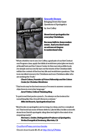

[Smooth Stones](http://CruciformPress.com/our-books/smooth-stones) Bringing Down the Giant Questions of Apologetics

by Joe Coffey

**Street-level apologetics for everyday Christians.** 

**Because faith in Jesus makes sense. And you don't need an advanced degree to understand why.** 

"What a thrill for me to see Joe Coffey, a graduate of our first Centurions Program class, apply the biblical worldview principles we teach at BreakPoint and the Colson Center. In this marvelous little book, Joe simply and succinctly lays out the tenets of the Christian faith within the context of the four key life and worldview questions. This is an excellent resource for Christians and non-Christians alike who are seeking the Truth."

### *Chuck Colson, Founder of Prison Fellowship and the Colson Center for Christian Worldview*

"This book may be the best resource I've seen to answer common objections in everyday language."

*Jared Totten,* **Critical Thinking Blog**

"A quick read that packs a punch....I'm always on the lookout for something like this. *Smooth Stones* is a winner. "

*Mike del Rosario,* **ApologeticsGuy.Com**

"Most books on apologetics are too long, too deep, and too complicated. This book has none of these defects. Like its title, it is like a smooth stone from David's apologetic sling directed right to the mind of an enquiring reader"

*Norman L. Geisler, Distinguished Professor of Apologetics, Veritas Evangelical Seminary, Murrieta, CA*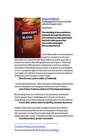

# [Innocent Blood](http://CruciformPress.com/our-books/innocent-blood)

Challenging the Powers of Death with the Gospel of Life

John Ensor

 **The shedding of innocent blood, primarily through abortion, has**<br>**RI.OOD** now marked an entire generation  **now marked an entire generation. But God's call to protect the innocent is unchanged.** 

> "God's Word tells us to be prepared to give an answer to everyone

who asks us a reason for the hope within us, and it also tells us that we should do this with gentleness and respect. This book does just that. With decades of experience and true wisdom, John Ensor beautifully shows us how our glorious God delights in our courageous fight for the innocent, and that he commands us to fight, not with the words and weapons of man but with the living and active Gospel of Jesus Christ."

*Burk Parsons, pastor; editor of* **Tabletalk**

"...a powerful indictment. There are areas of theology about which sincere Christians can disagree, but this is not one of them." *John Frame, Professor, Reformed Theological Seminary*

"By showing how our activism is to be motivated and fueled by the gospel, Ensor challenges us to devote our lives to magnifying Jesus Christ through seeking justice for the unborn." *Trevin Wax, author, editor at LifeWay Christian Resources*

Stellar! John Ensor provides a bridge between the defense of innocent human life and the proclamation of the gospel. His concisely worded thesis is theologically grounded and philosophically sound. I wholeheartedly recommend this book!

*Scott Klusendorf, speaker and author*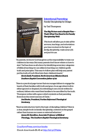

# [Intentional Parenting](http://CruciformPress.com/our-books/intentional-parenting)  Family Discipleship by Design

by Tad Thompson

### **The Big Picture and a Simple Plan — That's What You Need to Do Family Discipleship Well**

*This book will allow you to take all the sermons, teachings, and exhortations you have received on the topic of family discipleship, make sense of it, and put it to use.*

"As parents, we know God has given us the responsibility to train our children in his ways. But many parents don't know where or how to start. Tad has done us all a favor by identifying seven key categories of biblical teaching we can utilize in teaching our children godly truth and principles. This easy-to-follow plan will help any parent put the truth of God's Word into their children's hearts."

### *Kevin Ezell, President, North American Mission Board, Southern Baptist Convention; father of six*

"Here is a practical page-turner that encourages fathers to engage the hearts of their families with truth and grace. In an age when truth is either ignored or despised, it is refreshing to see a book written for ordinary fathers who want their families to be sanctified by the truth. Thompson writes with a grace which reminds us that parenting flows from the sweet mercies of Christ. ."

### *Joel Beeke, President, Puritan Reformed Theological Seminary*

"Need an introductory text to the topic of discipling children? Here is a clear, simple book on family discipleship, centered on the gospel rather than human successes or external behaviors."

*James M. Hamilton, Associate Professor of Biblical Theology, The Southern Baptist Theological Seminary*

[CruciformPress.com/our-books](http://CruciformPress.com/our-books)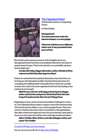

[The Organized Heart](http://CruciformPress.com/our-books/the-organized-heart) A Woman's Guide to Conquering Chaos

by Staci Eastin

**Disorganized? You dont need more rules, the latest technique, or a new gadget.** 

**This book will show you a different, better way. A way grounded in the grace of God.** 

"Staci Eastin packs a gracious punch, full of insights about our disorganized hearts and lives, immediately followed by the balm of gospel-shaped hopes. This book is ideal for accountability partners and small groups."

### *Carolyn McCulley, blogger, filmmaker, author of***Radical Womanhood***and***Did I Kiss Marriage Goodbye?**

"Unless we understand the spiritual dimension of productivity, our techniques will ultimately backfire. Find that dimension here. Encouraging and uplifting rather than guilt-driven, this book can help women who want to be more organized but know that adding a new method is not enough."

### *Matt Perman, Director of Strategy at Desiring God, blogger, author of the forthcoming book,* **What's Best Next: How the Gospel Transforms the Way You Get Things Done**

"Organizing a home can be an insurmountable challenge for a woman. The Organized Heart makes a unique connection between idols of the heart and the ability to run a well-managed home. This is not a how-to. Eastin looks at sin as the root problem of disorganization. She offers a fresh new approach and one I recommend, especially to those of us who have tried all the other self-help models and failed."

### *Aileen Challies, Mom of three, and wife of blogger, author, and pastor Tim Challies*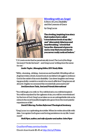

# [Wrestling with an Angel](http://cruciformpress.com/our-books/cruciform)

A Story of Love, Disability and the Lessons of Grace

by Greg Lucas

**The riveting, inspiring true story that readers have called "a touchstone book of my life," and "alternately hilarious and heartbreaking," a book that "turns the diamond of grace in such a way that you see facets you never really noticed before."** 

"C.S. Lewis wrote that he paradoxically loved *The Lord of the Rings* because it 'broke his heart'— and Greg Lucas' writing does the same for me."

### *Justin Taylor , Managing Editor,* **ESV Study Bible**

"Witty... stunning... striking... humorous and heartfelt. *Wrestling with an Angel* provides a fresh, honest look at one father's struggle to embrace God in the midst of his son's disability. Can sheer laughter and weeping gracefully coexist in a world of so much affliction? Greg knows all about it. I highly recommend this wonderfully personal book!"

### *Joni Eareckson Tada, Joni and Friends International*

"You will laugh; you will cry. You will feel sick; you will feel inspired. You will be repulsed by the ugliness of sin; you will be overwhelmed by the love of God. Greg Lucas takes us on an unforgettable ride as he extracts the most beautiful insights into grace from the most painful experiences of life."

### *David P. Murray, Puritan Reformed Theological Seminary*

"Greg Lucas is a captivating storyteller. When he writes about life with Jake, I recognize God's grace and loving persistence in my life. I want more!"

*Noël Piper, author, and wife of pastor and author John Piper*

[CruciformPress.com/our-books](http://CruciformPress.com/our-books)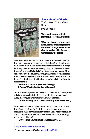

# [Servanthood as Worship](http://CruciformPress.com/our-books/servanthood-as-worship) The Privilege of Life in a Local Church

by Nate Palmer

**We [serve] because he first [served] us.** – **1 John 1:19 [sort of]** 

**What ever happened to servanthood? Here is a biblical presentation of our calling to serve in the church, motivated by the grace that is ours in the gospel.**

"In an age where the church can be likened to Cinderella – beautiful, but largely ignored and forgotten – Nate Palmer's brief book forces us to rethink both the church and our relationship to her. In an age where egocentrism ensures we sing, 'O say, can you see – what's in it for me?' on a weekly basis, Palmer forces us to say instead, 'How can I best serve the church?' Looking at the needs of others rather than one's own is possibly the most serious deficiency in the church today. Reading this book will help redress the deficiency. I heartily recommend it."

### *Derek W.H. Thomas, Professor of Theology Reformed Theological Seminary (Jackson)*

"Think of these pages as a handbook. It contains a sustainable, practical vision for serving in the local church that is powered by grace. Along the way, you'll get a mini theological education."

*Justin Buzzard, pastor, San Francisco Bay Area, Buzzard Blog*

"In our media-crazed, me-first culture, the art of the basin and the towel has been shoved off onto those who get paid to serve – certainly a call to serve in humility can't be God's will for all of us, or could it? Nate Palmer gets at the heart of our resistance.. I strongly recommend this book."

### *Elyse Fitzpatrick, author of* **Because He Loves Me**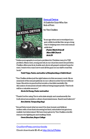

Sexual Detox A Guide for Guys Who Are Sick of Porn

by Tim Challies

"In an age when sex is worshiped as a god, a little book like this can go a long way to helping men overcome sexual addiction."

*–Pastor Mark Driscoll Mars Hill Church Acts 29*

"Online pornography is not just a problem for Christian men; it is THE problem. Many men, young and old, in our churches need *Sexual Detox*. Challies offers practical, doable and, above all, gospel-centered hope for men. I want every man I serve and all the guys on our staff to read this book."

### *Tedd Tripp, Pastor, and author of* **Shepherding a Child's Heart**

"Tim Challies strikes just the right balance in this necessary work. His assessment of the sexual epidemic in our culture is sober but not without hope. His advice is practical but avoids a checklist mentality. His discussion of sexual sin is frank without being inappropriate. This book will be a valuable resource."

### *Kevin DeYoung, Pastor and author*

"Thank God for using Tim to articulate simply and unashamedly the truth about sex amidst a culture of permissiveness. Read it and believe it."

### *Ben Zobrist, Tampa Bay Rays*

"*Sexual Detox* is just what we need. It is clear, honest, and biblical, written with a tone that is knowing but kind, exhortative but gracious, realistic but determined. We have been given by Tim Challies a terrific resource for fighting sin and exalting Christ.

### *Owen Strachan, Boyce College*

### [CruciformPress.com/our-books](http://CruciformPress.com/our-books)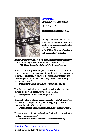

**[Cruciform](http://cruciformpress.com/our-books/cruciform/)** Living the Cross-Shaped Life by Jimmy Davis

#### **This is the shape of the gospel.**

"Jimmy Davis loves the cross. This little book will open your heart up to see how the cross is the center of all of life. Well done."

**— Paul Miller, Director of seeJesus. net, author of** *A Praying Life*

"Jimmy Davis shows us how to cut through the fog of contemporary Christian thinking to recover the Savior's plan for our lives."  *T. M. Moore, Dean, Chuck Colson's Centurions Program* 

"Jimmy shows from personal experience how a lack of passion and purpose, focus and fervor, compassion and conviction, is always due to distance from the now-power of the gospel. I pray that through this book you will rediscover the beauty and brilliance of the gospel in brand new ways."

### *Tullian Tchividjian, Coral Ridge Presbyterian Church*

"*Cruciform* is a theologically grounded and redemptively freeing picture of a life spent boasting in the cross of Jesus."

*Scotty Smith, Christ Community Church*

This book will be a help to everyone struggling with 'Why, God?' I believe every person planning for, and serving, in a place of Christian ministry should read this book."

*Dr. Brian Richardson, Southern Baptist Theological Seminary*

"This is a terrific book for those breakfast discipleship groups. It is the next one I am going to use."

*Dr. William E. Brown, President, Cedarville University*

[CruciformPress.com/our-books](http://CruciformPress.com/our-books)

"